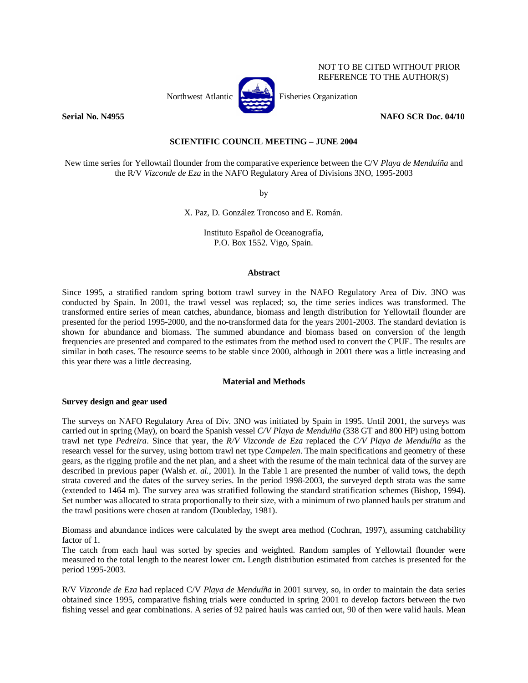

NOT TO BE CITED WITHOUT PRIOR REFERENCE TO THE AUTHOR(S)

**Serial No. N4955** NAFO SCR Doc. 04/10 **NAFO** SCR Doc. 04/10

# **SCIENTIFIC COUNCIL MEETING – JUNE 2004**

New time series for Yellowtail flounder from the comparative experience between the C/V *Playa de Menduíña* and the R/V *Vizconde de Eza* in the NAFO Regulatory Area of Divisions 3NO, 1995-2003

by

X. Paz, D. González Troncoso and E. Román.

Instituto Español de Oceanografía, P.O. Box 1552. Vigo, Spain.

### **Abstract**

Since 1995, a stratified random spring bottom trawl survey in the NAFO Regulatory Area of Div. 3NO was conducted by Spain. In 2001, the trawl vessel was replaced; so, the time series indices was transformed. The transformed entire series of mean catches, abundance, biomass and length distribution for Yellowtail flounder are presented for the period 1995-2000, and the no-transformed data for the years 2001-2003. The standard deviation is shown for abundance and biomass. The summed abundance and biomass based on conversion of the length frequencies are presented and compared to the estimates from the method used to convert the CPUE. The results are similar in both cases. The resource seems to be stable since 2000, although in 2001 there was a little increasing and this year there was a little decreasing.

## **Material and Methods**

## **Survey design and gear used**

The surveys on NAFO Regulatory Area of Div. 3NO was initiated by Spain in 1995. Until 2001, the surveys was carried out in spring (May), on board the Spanish vessel *C/V Playa de Menduiña* (338 GT and 800 HP) using bottom trawl net type *Pedreira*. Since that year, the *R/V Vizconde de Eza* replaced the *C/V Playa de Menduíña* as the research vessel for the survey, using bottom trawl net type *Campelen*. The main specifications and geometry of these gears, as the rigging profile and the net plan, and a sheet with the resume of the main technical data of the survey are described in previous paper (Walsh *et. al.*, 2001). In the Table 1 are presented the number of valid tows, the depth strata covered and the dates of the survey series. In the period 1998-2003, the surveyed depth strata was the same (extended to 1464 m). The survey area was stratified following the standard stratification schemes (Bishop, 1994). Set number was allocated to strata proportionally to their size, with a minimum of two planned hauls per stratum and the trawl positions were chosen at random (Doubleday, 1981).

Biomass and abundance indices were calculated by the swept area method (Cochran, 1997), assuming catchability factor of 1.

The catch from each haul was sorted by species and weighted. Random samples of Yellowtail flounder were measured to the total length to the nearest lower cm**.** Length distribution estimated from catches is presented for the period 1995-2003.

R/V *Vizconde de Eza* had replaced C/V *Playa de Menduíña* in 2001 survey, so, in order to maintain the data series obtained since 1995, comparative fishing trials were conducted in spring 2001 to develop factors between the two fishing vessel and gear combinations. A series of 92 paired hauls was carried out, 90 of then were valid hauls. Mean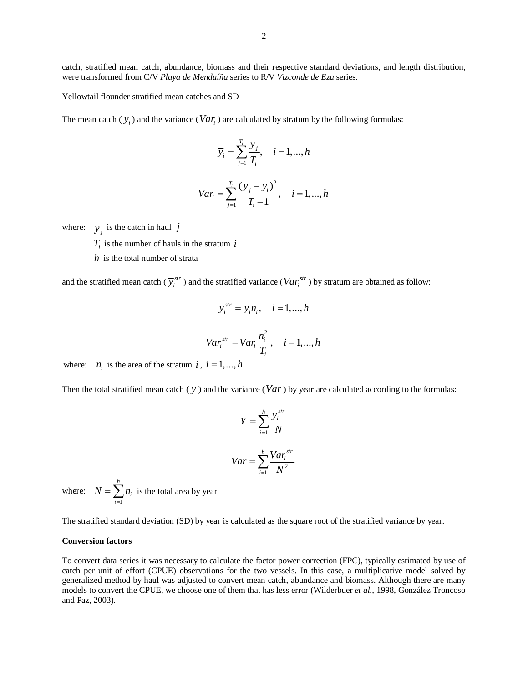catch, stratified mean catch, abundance, biomass and their respective standard deviations, and length distribution, were transformed from C/V *Playa de Menduíña* series to R/V *Vizconde de Eza* series.

Yellowtail flounder stratified mean catches and SD

The mean catch  $(\overline{y}_i)$  and the variance  $(Var_i)$  are calculated by stratum by the following formulas:

$$
\overline{y}_i = \sum_{j=1}^{T_i} \frac{y_j}{T_i}, \quad i = 1, \dots, h
$$

$$
Var_i = \sum_{j=1}^{T_i} \frac{(y_j - \overline{y}_i)^2}{T_i - 1}, \quad i = 1, ..., h
$$

where:  $y_j$  is the catch in haul *j* 

 $T_i$  is the number of hauls in the stratum  $i$ 

*h* is the total number of strata

and the stratified mean catch ( $\overline{y}_i^{str}$ ) and the stratified variance ( $Var_i^{str}$ ) by stratum are obtained as follow:

$$
\overline{y}_i^{str} = \overline{y}_i n_i, \quad i = 1, ..., h
$$
  

$$
Var_i^{str} = Var_i \frac{n_i^2}{T_i}, \quad i = 1, ..., h
$$

where:  $n_i$  is the area of the stratum *i*,  $i = 1, ..., h$ 

Then the total stratified mean catch  $(\bar{y})$  and the variance (*Var*) by year are calculated according to the formulas:

$$
\overline{Y} = \sum_{i=1}^{h} \frac{\overline{y}_i^{str}}{N}
$$

$$
Var = \sum_{i=1}^{h} \frac{Var_i^{str}}{N^2}
$$

where: 1 *h i i*  $N = \sum n$  $=\sum_{i=1}^{\infty} n_i$  is the total area by year

The stratified standard deviation (SD) by year is calculated as the square root of the stratified variance by year.

### **Conversion factors**

To convert data series it was necessary to calculate the factor power correction (FPC), typically estimated by use of catch per unit of effort (CPUE) observations for the two vessels. In this case, a multiplicative model solved by generalized method by haul was adjusted to convert mean catch, abundance and biomass. Although there are many models to convert the CPUE, we choose one of them that has less error (Wilderbuer *et al.*, 1998, González Troncoso and Paz, 2003).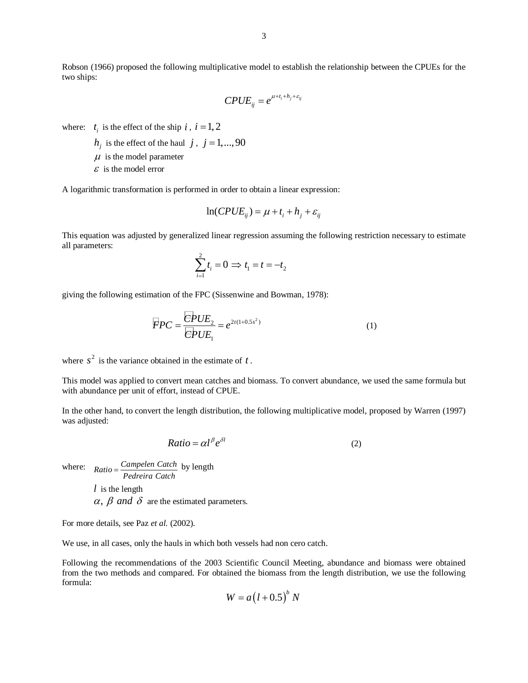Robson (1966) proposed the following multiplicative model to establish the relationship between the CPUEs for the two ships:

$$
CPUE_{ij} = e^{\mu + t_i + h_j + \varepsilon_{ij}}
$$

where:  $t_i$  is the effect of the ship  $i$ ,  $i = 1, 2$ 

- $h_i$  is the effect of the haul *j*, *j* = 1,...,90
- $\mu$  is the model parameter
- $\epsilon$  is the model error

A logarithmic transformation is performed in order to obtain a linear expression:

$$
\ln(CPUE_{ij}) = \mu + t_i + h_j + \varepsilon_{ij}
$$

This equation was adjusted by generalized linear regression assuming the following restriction necessary to estimate all parameters:

$$
\sum_{i=1}^{2} t_i = 0 \Rightarrow t_1 = t = -t_2
$$

giving the following estimation of the FPC (Sissenwine and Bowman, 1978):

$$
\overline{F}PC = \frac{\overline{C}PUE_2}{\overline{C}PUE_1} = e^{2t(1+0.5s^2)}
$$
 (1)

where  $s^2$  is the variance obtained in the estimate of  $t$ .

This model was applied to convert mean catches and biomass. To convert abundance, we used the same formula but with abundance per unit of effort, instead of CPUE.

In the other hand, to convert the length distribution, the following multiplicative model, proposed by Warren (1997) was adjusted:

$$
Ratio = \alpha l^{\beta} e^{\delta l} \tag{2}
$$

where:  $Ratio = \frac{Campelen Catch}{Pedreira Catch}$  by length *l* is the length  $\alpha$ ,  $\beta$  *and*  $\delta$  are the estimated parameters.

For more details, see Paz *et al.* (2002).

We use, in all cases, only the hauls in which both vessels had non cero catch.

Following the recommendations of the 2003 Scientific Council Meeting, abundance and biomass were obtained from the two methods and compared. For obtained the biomass from the length distribution, we use the following formula:

$$
W = a(l+0.5)^b N
$$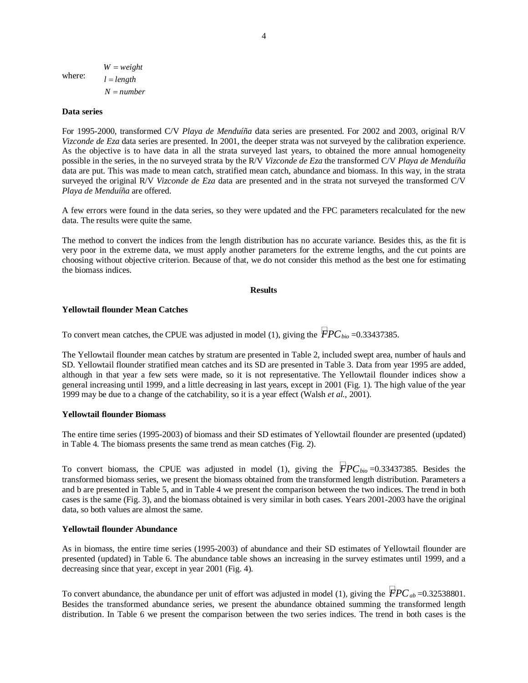where:  $W = weight$  $l = length$  $N = number$ 

### **Data series**

For 1995-2000, transformed C/V *Playa de Menduíña* data series are presented. For 2002 and 2003, original R/V *Vizconde de Eza* data series are presented. In 2001, the deeper strata was not surveyed by the calibration experience. As the objective is to have data in all the strata surveyed last years, to obtained the more annual homogeneity possible in the series, in the no surveyed strata by the R/V *Vizconde de Eza* the transformed C/V *Playa de Menduíña* data are put. This was made to mean catch, stratified mean catch, abundance and biomass. In this way, in the strata surveyed the original R/V *Vizconde de Eza* data are presented and in the strata not surveyed the transformed C/V *Playa de Menduíña* are offered.

A few errors were found in the data series, so they were updated and the FPC parameters recalculated for the new data. The results were quite the same.

The method to convert the indices from the length distribution has no accurate variance. Besides this, as the fit is very poor in the extreme data, we must apply another parameters for the extreme lengths, and the cut points are choosing without objective criterion. Because of that, we do not consider this method as the best one for estimating the biomass indices.

## **Results**

### **Yellowtail flounder Mean Catches**

To convert mean catches, the CPUE was adjusted in model (1), giving the  $\overline{PPC}_{bio} = 0.33437385$ .

The Yellowtail flounder mean catches by stratum are presented in Table 2, included swept area, number of hauls and SD. Yellowtail flounder stratified mean catches and its SD are presented in Table 3. Data from year 1995 are added, although in that year a few sets were made, so it is not representative. The Yellowtail flounder indices show a general increasing until 1999, and a little decreasing in last years, except in 2001 (Fig. 1). The high value of the year 1999 may be due to a change of the catchability, so it is a year effect (Walsh *et al.*, 2001).

### **Yellowtail flounder Biomass**

The entire time series (1995-2003) of biomass and their SD estimates of Yellowtail flounder are presented (updated) in Table 4. The biomass presents the same trend as mean catches (Fig. 2).

To convert biomass, the CPUE was adjusted in model (1), giving the  $\overline{F}PC_{bio}=0.33437385$ . Besides the transformed biomass series, we present the biomass obtained from the transformed length distribution. Parameters a and b are presented in Table 5, and in Table 4 we present the comparison between the two indices. The trend in both cases is the same (Fig. 3), and the biomass obtained is very similar in both cases. Years 2001-2003 have the original data, so both values are almost the same.

## **Yellowtail flounder Abundance**

As in biomass, the entire time series (1995-2003) of abundance and their SD estimates of Yellowtail flounder are presented (updated) in Table 6. The abundance table shows an increasing in the survey estimates until 1999, and a decreasing since that year, except in year 2001 (Fig. 4).

To convert abundance, the abundance per unit of effort was adjusted in model (1), giving the  $\overline{FPC}_{ab}$ =0.32538801. Besides the transformed abundance series, we present the abundance obtained summing the transformed length distribution. In Table 6 we present the comparison between the two series indices. The trend in both cases is the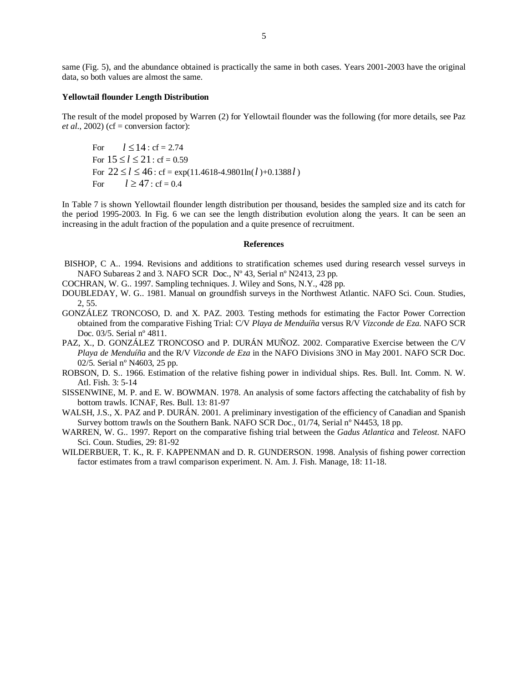same (Fig. 5), and the abundance obtained is practically the same in both cases. Years 2001-2003 have the original data, so both values are almost the same.

#### **Yellowtail flounder Length Distribution**

The result of the model proposed by Warren (2) for Yellowtail flounder was the following (for more details, see Paz *et al.*, 2002) (cf = conversion factor):

For  $l \le 14$  : cf = 2.74 For  $15 \le l \le 21$ : cf = 0.59 For  $22 \le l \le 46$ : cf = exp(11.4618-4.9801ln(*l*)+0.1388*l*) For  $l \ge 47$  : cf = 0.4

In Table 7 is shown Yellowtail flounder length distribution per thousand, besides the sampled size and its catch for the period 1995-2003. In Fig. 6 we can see the length distribution evolution along the years. It can be seen an increasing in the adult fraction of the population and a quite presence of recruitment.

### **References**

- BISHOP, C A.. 1994. Revisions and additions to stratification schemes used during research vessel surveys in NAFO Subareas 2 and 3*.* NAFO SCR Doc., Nº 43, Serial nº N2413, 23 pp.
- COCHRAN, W. G.. 1997. Sampling techniques. J. Wiley and Sons, N.Y., 428 pp.
- DOUBLEDAY, W. G.. 1981. Manual on groundfish surveys in the Northwest Atlantic. NAFO Sci. Coun. Studies, 2, 55.
- GONZÁLEZ TRONCOSO, D. and X. PAZ. 2003. Testing methods for estimating the Factor Power Correction obtained from the comparative Fishing Trial: C/V *Playa de Menduíña* versus R/V *Vizconde de Eza*. NAFO SCR Doc. 03/5. Serial nº 4811.
- PAZ, X., D. GONZÁLEZ TRONCOSO and P. DURÁN MUÑOZ. 2002. Comparative Exercise between the C/V *Playa de Menduíña* and the R/V *Vizconde de Eza* in the NAFO Divisions 3NO in May 2001. NAFO SCR Doc. 02/5. Serial nº N4603, 25 pp.
- ROBSON, D. S.. 1966. Estimation of the relative fishing power in individual ships. Res. Bull. Int. Comm. N. W. Atl. Fish. 3: 5-14
- SISSENWINE, M. P. and E. W. BOWMAN. 1978. An analysis of some factors affecting the catchabality of fish by bottom trawls. ICNAF, Res. Bull. 13: 81-97
- WALSH, J.S., X. PAZ and P. DURÁN. 2001. A preliminary investigation of the efficiency of Canadian and Spanish Survey bottom trawls on the Southern Bank. NAFO SCR Doc., 01/74, Serial nº N4453, 18 pp.
- WARREN, W. G.. 1997. Report on the comparative fishing trial between the *Gadus Atlantica* and *Teleost*. NAFO Sci. Coun. Studies, 29: 81-92
- WILDERBUER, T. K., R. F. KAPPENMAN and D. R. GUNDERSON. 1998. Analysis of fishing power correction factor estimates from a trawl comparison experiment. N. Am. J. Fish. Manage, 18: 11-18.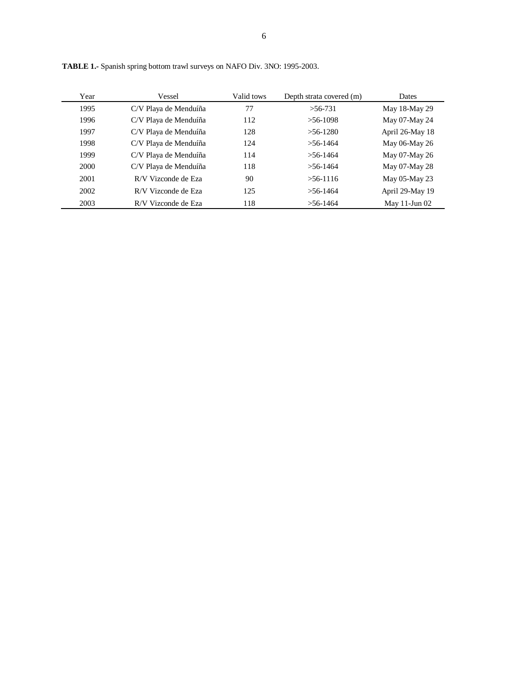| Year | Vessel                | Valid tows | Depth strata covered (m) | <b>Dates</b>       |
|------|-----------------------|------------|--------------------------|--------------------|
| 1995 | C/V Playa de Menduíña | 77         | $>56-731$                | May 18-May 29      |
| 1996 | C/V Playa de Menduíña | 112        | $>56-1098$               | May 07-May 24      |
| 1997 | C/V Playa de Menduíña | 128        | $>56-1280$               | April 26-May 18    |
| 1998 | C/V Playa de Menduíña | 124        | $> 56 - 1464$            | May 06-May 26      |
| 1999 | C/V Playa de Menduíña | 114        | $> 56 - 1464$            | May 07-May 26      |
| 2000 | C/V Playa de Menduíña | 118        | $> 56 - 1464$            | May 07-May 28      |
| 2001 | R/V Vizconde de Eza   | 90         | $>$ 56-1116              | May 05-May 23      |
| 2002 | R/V Vizconde de Eza   | 125        | $> 56 - 1464$            | April 29-May 19    |
| 2003 | R/V Vizconde de Eza   | 118        | $>$ 56-1464              | May $11$ -Jun $02$ |

**TABLE 1.-** Spanish spring bottom trawl surveys on NAFO Div. 3NO: 1995-2003.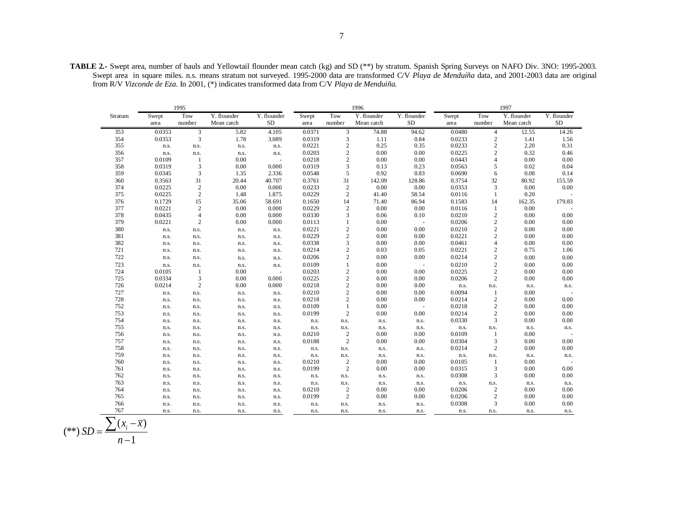**TABLE 2.-** Swept area, number of hauls and Yellowtail flounder mean catch (kg) and SD (\*\*) by stratum. Spanish Spring Surveys on NAFO Div. 3NO: 1995-2003. Swept area in square miles. n.s. means stratum not surveyed. 1995-2000 data are transformed C/V *Playa de Menduíña* data, and 2001-2003 data are original from R/V *Vizconde de Eza*. In 2001, (\*) indicates transformed data from C/V *Playa de Menduiña.*

|         |        | 1995           |             | 1996<br>1997 |        |                |             |                          |        |                                            |             |             |
|---------|--------|----------------|-------------|--------------|--------|----------------|-------------|--------------------------|--------|--------------------------------------------|-------------|-------------|
| Stratum | Swept  | Tow            | Y. flounder | Y. flounder  | Swept  | Tow            | Y. flounder | Y. flounder              | Swept  | Tow                                        | Y. flounder | Y. flounder |
|         | area   | number         | Mean catch  | <b>SD</b>    | area   | number         | Mean catch  | <b>SD</b>                | area   | number                                     | Mean catch  | ${\rm SD}$  |
| 353     | 0.0353 | 3              | 5.82        | 4.105        | 0.0371 | 3              | 74.88       | 94.62                    | 0.0480 | $\overline{4}$                             | 12.55       | 14.26       |
| 354     | 0.0353 | 3              | 1.78        | 3.089        | 0.0319 | 3              | 1.11        | 0.84                     | 0.0233 | $\sqrt{2}$                                 | 1.41        | 1.56        |
| 355     | n.s.   | n.s.           | n.s.        | n.s.         | 0.0221 | $\overline{c}$ | 0.25        | 0.35                     | 0.0233 | $\sqrt{2}$                                 | 2.20        | 0.31        |
| 356     | n.s.   | n.s.           | n.s.        | n.s.         | 0.0203 | $\mathbf{2}$   | 0.00        | 0.00                     | 0.0225 | $\overline{c}$                             | 0.32        | 0.46        |
| 357     | 0.0109 | 1              | 0.00        |              | 0.0218 | $\mathfrak{2}$ | 0.00        | 0.00                     | 0.0443 | $\overline{4}$                             | 0.00        | 0.00        |
| 358     | 0.0319 | $\mathfrak{Z}$ | 0.00        | 0.000        | 0.0319 | 3              | 0.13        | 0.23                     | 0.0563 | $\sqrt{5}$                                 | 0.02        | 0.04        |
| 359     | 0.0345 | 3              | 1.35        | 2.336        | 0.0548 | 5              | 0.92        | 0.83                     | 0.0690 | 6                                          | 0.08        | 0.14        |
| 360     | 0.3563 | 31             | 20.44       | 40.707       | 0.3761 | 31             | 142.09      | 128.86                   | 0.3754 | 32                                         | 80.92       | 155.59      |
| 374     | 0.0225 | $\sqrt{2}$     | 0.00        | 0.000        | 0.0233 | $\overline{c}$ | 0.00        | 0.00                     | 0.0353 | 3                                          | 0.00        | 0.00        |
| 375     | 0.0225 | $\overline{c}$ | 1.48        | 1.875        | 0.0229 | $\mathbf{2}$   | 41.40       | 58.54                    | 0.0116 | $\mathbf{1}$                               | 0.20        |             |
| 376     | 0.1729 | 15             | 35.06       | 58.691       | 0.1650 | 14             | 71.40       | 86.94                    | 0.1583 | 14                                         | 162.35      | 179.83      |
| 377     | 0.0221 | $\overline{c}$ | 0.00        | 0.000        | 0.0229 | $\sqrt{2}$     | 0.00        | 0.00                     | 0.0116 | 1                                          | 0.00        |             |
| 378     | 0.0435 | $\overline{4}$ | 0.00        | 0.000        | 0.0330 | 3              | 0.06        | 0.10                     | 0.0210 | $\sqrt{2}$                                 | 0.00        | 0.00        |
| 379     | 0.0221 | $\overline{c}$ | 0.00        | 0.000        | 0.0113 | $\mathbf{1}$   | 0.00        |                          | 0.0206 | $\sqrt{2}$                                 | 0.00        | 0.00        |
| 380     | n.s.   | n.s.           | n.s.        | n.s.         | 0.0221 | $\overline{c}$ | 0.00        | 0.00                     | 0.0210 | $\sqrt{2}$                                 | 0.00        | 0.00        |
| 381     | n.s.   | n.s.           | n.s.        | n.s.         | 0.0229 | $\mathbf{2}$   | 0.00        | 0.00                     | 0.0221 | $\sqrt{2}$                                 | 0.00        | 0.00        |
| 382     | n.s.   | n.s.           | n.s.        | n.s.         | 0.0338 | 3              | 0.00        | 0.00                     | 0.0461 | $\overline{4}$                             | $0.00\,$    | 0.00        |
| 721     | n.s.   | n.s.           | n.s.        | n.s.         | 0.0214 | $\mathbf{2}$   | 0.03        | 0.05                     | 0.0221 | $\sqrt{2}$                                 | 0.75        | 1.06        |
| 722     | n.s.   | n.s.           | n.s.        | n.s.         | 0.0206 | $\,2$          | 0.00        | 0.00                     | 0.0214 | $\sqrt{2}$                                 | 0.00        | 0.00        |
| 723     | n.s.   | n.s.           | n.s.        | n.s.         | 0.0109 | $\mathbf{1}$   | 0.00        | $\sim$                   | 0.0210 | $\overline{c}$                             | 0.00        | 0.00        |
| 724     | 0.0105 | $\mathbf{1}$   | 0.00        | J.           | 0.0203 | $\mathbf{2}$   | 0.00        | 0.00                     | 0.0225 | $\sqrt{2}$                                 | 0.00        | 0.00        |
| 725     | 0.0334 | 3              | 0.00        | 0.000        | 0.0225 | $\sqrt{2}$     | 0.00        | 0.00                     | 0.0206 | $\sqrt{2}$                                 | 0.00        | $0.00\,$    |
| 726     | 0.0214 | 2              | 0.00        | 0.000        | 0.0218 | $\mathbf{2}$   | 0.00        | 0.00                     | n.s.   | n.s.                                       | n.s.        | n.s.        |
| 727     | n.s.   | n.s.           | n.s.        | n.s.         | 0.0210 | $\mathfrak{2}$ | 0.00        | 0.00                     | 0.0094 | $\mathbf{1}$                               | 0.00        |             |
| 728     | n.s.   | n.s.           | n.s.        | n.s.         | 0.0218 | $\overline{c}$ | 0.00        | 0.00                     | 0.0214 | $\begin{smallmatrix}2\\2\end{smallmatrix}$ | 0.00        | 0.00        |
| 752     | n.s.   | n.s.           | n.s.        | n.s.         | 0.0109 | $\mathbf{1}$   | 0.00        | $\overline{\phantom{a}}$ | 0.0218 |                                            | 0.00        | 0.00        |
| 753     | n.s.   | n.s.           | n.s.        | n.s.         | 0.0199 | $\sqrt{2}$     | 0.00        | 0.00                     | 0.0214 | $\sqrt{2}$                                 | 0.00        | 0.00        |
| 754     | n.s.   | n.s.           | n.s.        | n.s.         | n.s.   | n.s.           | n.s.        | n.s.                     | 0.0330 | $\sqrt{3}$                                 | $0.00\,$    | $0.00\,$    |
| 755     | n.s.   | n.s.           | n.s.        | n.s.         | n.s.   | n.s.           | n.s.        | n.s.                     | n.s.   | n.s.                                       | n.s.        | n.s.        |
| 756     | n.s.   | n.s.           | n.s.        | n.s.         | 0.0210 | $\overline{c}$ | 0.00        | 0.00                     | 0.0109 | $\mathbf{1}$                               | 0.00        |             |
| 757     | n.s.   | n.s.           | n.s.        | n.s.         | 0.0188 | $\sqrt{2}$     | 0.00        | 0.00                     | 0.0304 | 3                                          | 0.00        | 0.00        |
| 758     | n.s.   | n.s.           | n.s.        | n.s.         | n.s.   | n.s.           | n.s.        | n.s.                     | 0.0214 | $\sqrt{2}$                                 | 0.00        | $0.00\,$    |
| 759     | n.s.   | n.s.           | n.s.        | n.s.         | n.s.   | n.s.           | n.s.        | n.s.                     | n.s.   | n.s.                                       | n.s.        | n.s.        |
| 760     | n.s.   | n.s.           | n.s.        | n.s.         | 0.0210 | $\overline{c}$ | 0.00        | 0.00                     | 0.0105 | $\mathbf{1}$                               | 0.00        |             |
| 761     | n.s.   | n.s.           | n.s.        | n.s.         | 0.0199 | $\sqrt{2}$     | $0.00\,$    | 0.00                     | 0.0315 | 3                                          | 0.00        | 0.00        |
| 762     | n.s.   | n.s.           | n.s.        | n.s.         | n.s.   | n.s.           | n.s.        | n.s.                     | 0.0308 | 3                                          | $0.00\,$    | $0.00\,$    |
| 763     | n.s.   | n.s.           | n.s.        | n.s.         | n.s.   | n.s.           | n.s.        | n.s.                     | n.s.   | n.s.                                       | n.s.        | n.s.        |
| 764     | n.s.   | n.s.           | n.s.        | n.s.         | 0.0210 | $\,2$          | 0.00        | 0.00                     | 0.0206 | $\sqrt{2}$                                 | 0.00        | 0.00        |
| 765     | n.s.   | n.s.           | n.s.        | n.s.         | 0.0199 | $\mathfrak{2}$ | 0.00        | 0.00                     | 0.0206 | $\sqrt{2}$                                 | 0.00        | 0.00        |
| 766     | n.s.   | n.s.           | n.s.        | n.s.         | n.s.   | n.s.           | n.s.        | n.s.                     | 0.0308 | $\overline{3}$                             | 0.00        | 0.00        |
| 767     | n.s.   | n.s.           | n.s.        | n.s.         | n.s.   | n.s.           | n.s.        | n.s.                     | n.s.   | n.s.                                       | n.s.        | n.s.        |

$$
(**) SD = \frac{\sum (x_i - \overline{x})}{n - 1}
$$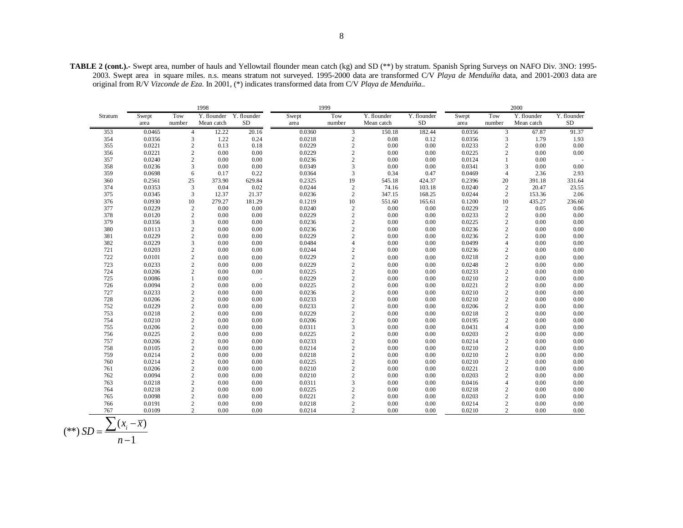|         |        |                | 1998        |             | 1999   |                |             |             |        | 2000           |             |             |  |
|---------|--------|----------------|-------------|-------------|--------|----------------|-------------|-------------|--------|----------------|-------------|-------------|--|
| Stratum | Swept  | Tow            | Y. flounder | Y. flounder | Swept  | Tow            | Y. flounder | Y. flounder | Swept  | Tow            | Y. flounder | Y. flounder |  |
|         | area   | number         | Mean catch  | SD          | area   | number         | Mean catch  | $\rm SD$    | area   | number         | Mean catch  | <b>SD</b>   |  |
| 353     | 0.0465 | $\overline{4}$ | 12.22       | 20.16       | 0.0360 | $\mathfrak{Z}$ | 150.18      | 182.44      | 0.0356 | 3              | 67.87       | 91.37       |  |
| 354     | 0.0356 | 3              | 1.22        | 0.24        | 0.0218 | $\sqrt{2}$     | 0.08        | 0.12        | 0.0356 | 3              | 1.79        | 1.93        |  |
| 355     | 0.0221 | $\sqrt{2}$     | 0.13        | 0.18        | 0.0229 | $\sqrt{2}$     | 0.00        | 0.00        | 0.0233 | $\overline{c}$ | 0.00        | 0.00        |  |
| 356     | 0.0221 | $\overline{2}$ | 0.00        | 0.00        | 0.0229 | $\overline{c}$ | 0.00        | 0.00        | 0.0225 | $\overline{c}$ | 0.00        | 0.00        |  |
| 357     | 0.0240 | $\overline{2}$ | 0.00        | 0.00        | 0.0236 | $\mathbf{2}$   | 0.00        | 0.00        | 0.0124 | $\mathbf{1}$   | 0.00        |             |  |
| 358     | 0.0236 | 3              | 0.00        | 0.00        | 0.0349 | 3              | 0.00        | 0.00        | 0.0341 | 3              | 0.00        | 0.00        |  |
| 359     | 0.0698 | 6              | 0.17        | 0.22        | 0.0364 | 3              | 0.34        | 0.47        | 0.0469 | $\overline{4}$ | 2.36        | 2.93        |  |
| 360     | 0.2561 | 25             | 373.90      | 629.84      | 0.2325 | 19             | 545.18      | 424.37      | 0.2396 | 20             | 391.18      | 331.64      |  |
| 374     | 0.0353 | $\overline{3}$ | 0.04        | 0.02        | 0.0244 | $\sqrt{2}$     | 74.16       | 103.18      | 0.0240 | $\overline{2}$ | 20.47       | 23.55       |  |
| 375     | 0.0345 | 3              | 12.37       | 21.37       | 0.0236 | $\overline{c}$ | 347.15      | 168.25      | 0.0244 | 2              | 153.36      | 2.06        |  |
| 376     | 0.0930 | 10             | 279.27      | 181.29      | 0.1219 | 10             | 551.60      | 165.61      | 0.1200 | 10             | 435.27      | 236.60      |  |
| 377     | 0.0229 | $\sqrt{2}$     | 0.00        | 0.00        | 0.0240 | $\sqrt{2}$     | 0.00        | 0.00        | 0.0229 | $\overline{c}$ | 0.05        | 0.06        |  |
| 378     | 0.0120 | $\overline{2}$ | 0.00        | 0.00        | 0.0229 | $\overline{c}$ | 0.00        | 0.00        | 0.0233 | $\sqrt{2}$     | 0.00        | 0.00        |  |
| 379     | 0.0356 | 3              | 0.00        | 0.00        | 0.0236 | $\sqrt{2}$     | 0.00        | 0.00        | 0.0225 | $\mathbf{2}$   | 0.00        | 0.00        |  |
| 380     | 0.0113 | $\overline{c}$ | 0.00        | 0.00        | 0.0236 | $\sqrt{2}$     | 0.00        | 0.00        | 0.0236 | $\overline{c}$ | 0.00        | 0.00        |  |
| 381     | 0.0229 | $\overline{c}$ | 0.00        | 0.00        | 0.0229 | $\overline{c}$ | 0.00        | 0.00        | 0.0236 | $\overline{c}$ | 0.00        | 0.00        |  |
| 382     | 0.0229 | $\overline{3}$ | 0.00        | 0.00        | 0.0484 | $\overline{4}$ | 0.00        | 0.00        | 0.0499 | $\overline{4}$ | 0.00        | 0.00        |  |
| 721     | 0.0203 | $\overline{2}$ | 0.00        | 0.00        | 0.0244 | $\sqrt{2}$     | 0.00        | 0.00        | 0.0236 | $\overline{c}$ | 0.00        | 0.00        |  |
| 722     | 0.0101 | $\overline{2}$ | 0.00        | 0.00        | 0.0229 | $\overline{c}$ | 0.00        | 0.00        | 0.0218 | $\sqrt{2}$     | 0.00        | 0.00        |  |
| 723     | 0.0233 | $\overline{c}$ | 0.00        | 0.00        | 0.0229 | $\sqrt{2}$     | 0.00        | 0.00        | 0.0248 | $\overline{c}$ | 0.00        | 0.00        |  |
| 724     | 0.0206 | $\overline{2}$ | 0.00        | 0.00        | 0.0225 | $\sqrt{2}$     | 0.00        | 0.00        | 0.0233 | $\overline{c}$ | 0.00        | 0.00        |  |
| 725     | 0.0086 | $\overline{1}$ | 0.00        | ÷.          | 0.0229 | $\sqrt{2}$     | 0.00        | 0.00        | 0.0210 | $\mathbf{2}$   | 0.00        | 0.00        |  |
| 726     | 0.0094 | $\overline{2}$ | 0.00        | 0.00        | 0.0225 | $\sqrt{2}$     | 0.00        | 0.00        | 0.0221 | $\overline{c}$ | 0.00        | 0.00        |  |
| 727     | 0.0233 | $\overline{c}$ | 0.00        | 0.00        | 0.0236 | $\mathbf{2}$   | 0.00        | 0.00        | 0.0210 | $\overline{c}$ | 0.00        | 0.00        |  |
| 728     | 0.0206 | $\sqrt{2}$     | 0.00        | 0.00        | 0.0233 | $\sqrt{2}$     | 0.00        | 0.00        | 0.0210 | $\sqrt{2}$     | 0.00        | 0.00        |  |
| 752     | 0.0229 | $\sqrt{2}$     | 0.00        | 0.00        | 0.0233 | $\sqrt{2}$     | 0.00        | 0.00        | 0.0206 | $\sqrt{2}$     | 0.00        | 0.00        |  |
| 753     | 0.0218 | $\overline{c}$ | 0.00        | 0.00        | 0.0229 | $\mathbf{2}$   | 0.00        | 0.00        | 0.0218 | $\overline{c}$ | 0.00        | 0.00        |  |
| 754     | 0.0210 | $\sqrt{2}$     | 0.00        | 0.00        | 0.0206 | $\overline{c}$ | 0.00        | 0.00        | 0.0195 | $\overline{c}$ | 0.00        | 0.00        |  |
| 755     | 0.0206 | $\sqrt{2}$     | 0.00        | 0.00        | 0.0311 | 3              | 0.00        | 0.00        | 0.0431 | $\overline{4}$ | 0.00        | 0.00        |  |
| 756     | 0.0225 | $\overline{c}$ | 0.00        | 0.00        | 0.0225 | $\mathbf{2}$   | 0.00        | 0.00        | 0.0203 | $\overline{c}$ | 0.00        | 0.00        |  |
| 757     | 0.0206 | $\sqrt{2}$     | 0.00        | 0.00        | 0.0233 | $\sqrt{2}$     | 0.00        | 0.00        | 0.0214 | $\sqrt{2}$     | 0.00        | 0.00        |  |
| 758     | 0.0105 | $\overline{c}$ | 0.00        | 0.00        | 0.0214 | $\sqrt{2}$     | 0.00        | 0.00        | 0.0210 | $\mathbf{2}$   | 0.00        | 0.00        |  |
| 759     | 0.0214 | $\overline{2}$ | 0.00        | 0.00        | 0.0218 | $\mathbf{2}$   | 0.00        | 0.00        | 0.0210 | $\overline{c}$ | 0.00        | 0.00        |  |
| 760     | 0.0214 | $\sqrt{2}$     | 0.00        | 0.00        | 0.0225 | $\sqrt{2}$     | 0.00        | 0.00        | 0.0210 | $\overline{c}$ | 0.00        | 0.00        |  |
| 761     | 0.0206 | $\sqrt{2}$     | 0.00        | 0.00        | 0.0210 | $\sqrt{2}$     | 0.00        | 0.00        | 0.0221 | $\overline{c}$ | 0.00        | 0.00        |  |
| 762     | 0.0094 | $\overline{2}$ | 0.00        | 0.00        | 0.0210 | $\overline{c}$ | 0.00        | 0.00        | 0.0203 | $\overline{c}$ | 0.00        | 0.00        |  |
| 763     | 0.0218 | $\overline{2}$ | 0.00        | 0.00        | 0.0311 | 3              | 0.00        | 0.00        | 0.0416 | $\overline{4}$ | 0.00        | 0.00        |  |
| 764     | 0.0218 | $\sqrt{2}$     | 0.00        | 0.00        | 0.0225 | $\overline{c}$ | 0.00        | 0.00        | 0.0218 | $\overline{c}$ | 0.00        | 0.00        |  |
| 765     | 0.0098 | $\sqrt{2}$     | 0.00        | $0.00\,$    | 0.0221 | $\overline{c}$ | 0.00        | 0.00        | 0.0203 | $\overline{c}$ | 0.00        | 0.00        |  |
| 766     | 0.0191 | $\overline{2}$ | 0.00        | 0.00        | 0.0218 | $\overline{c}$ | 0.00        | 0.00        | 0.0214 | $\overline{c}$ | 0.00        | 0.00        |  |
| 767     | 0.0109 | 2              | 0.00        | 0.00        | 0.0214 | $\overline{c}$ | 0.00        | 0.00        | 0.0210 | $\overline{c}$ | 0.00        | 0.00        |  |

$$
(**) SD = \frac{\sum (x_i - \overline{x})}{n - 1}
$$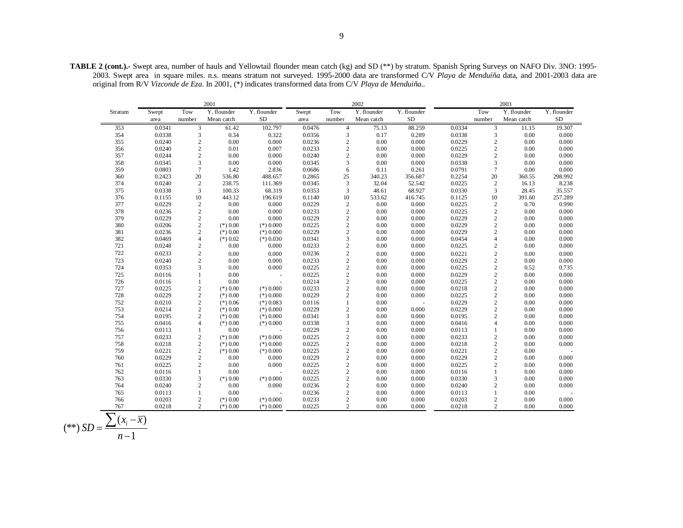**TABLE 2 (cont.).-** Swept area, number of hauls and Yellowtail flounder mean catch (kg) and SD (\*\*) by stratum. Spanish Spring Surveys on NAFO Div. 3NO: 1995- 2003. Swept area in square miles. n.s. means stratum not surveyed. 1995-2000 data are transformed C/V *Playa de Menduíña* data, and 2001-2003 data are original from R/V *Vizconde de Eza*. In 2001, (\*) indicates transformed data from C/V *Playa de Menduiña..*

|         |        |                                            | 2001        |                |        |                | 2002        | 2003        |        |                         |             |             |
|---------|--------|--------------------------------------------|-------------|----------------|--------|----------------|-------------|-------------|--------|-------------------------|-------------|-------------|
| Stratum | Swept  | Tow                                        | Y. flounder | Y. flounder    | Swept  | Tow            | Y. flounder | Y. flounder |        | Tow                     | Y. flounder | Y. flounder |
|         | area   | number                                     | Mean catch  | <b>SD</b>      | area   | number         | Mean catch  | <b>SD</b>   |        | number                  | Mean catch  | <b>SD</b>   |
| 353     | 0.0341 | $\mathbf{3}$                               | 61.42       | 102.797        | 0.0476 | $\overline{4}$ | 75.13       | 88.259      | 0.0334 | 3                       | 11.15       | 19.307      |
| 354     | 0.0338 | 3                                          | 0.34        | 0.322          | 0.0356 | 3              | 0.17        | 0.289       | 0.0338 | 3                       | $0.00\,$    | 0.000       |
| 355     | 0.0240 | $\sqrt{2}$                                 | 0.00        | 0.000          | 0.0236 | $\overline{2}$ | 0.00        | 0.000       | 0.0229 | $\overline{c}$          | 0.00        | 0.000       |
| 356     | 0.0240 | $\sqrt{2}$                                 | 0.01        | 0.007          | 0.0233 | $\sqrt{2}$     | 0.00        | 0.000       | 0.0225 | $\overline{c}$          | 0.00        | 0.000       |
| 357     | 0.0244 | $\sqrt{2}$                                 | 0.00        | 0.000          | 0.0240 | $\overline{c}$ | 0.00        | 0.000       | 0.0229 | $\mathbf{2}$            | $0.00\,$    | 0.000       |
| 358     | 0.0345 | $\sqrt{3}$                                 | 0.00        | 0.000          | 0.0345 | $\overline{3}$ | 0.00        | 0.000       | 0.0338 | 3                       | 0.00        | 0.000       |
| 359     | 0.0803 | $\overline{7}$                             | 1.42        | 2.836          | 0.0686 | 6              | 0.11        | 0.261       | 0.0791 | $\overline{7}$          | 0.00        | 0.000       |
| 360     | 0.2423 | 20                                         | 536.80      | 488.657        | 0.2865 | 25             | 340.23      | 356.687     | 0.2254 | 20                      | 360.55      | 298.992     |
| 374     | 0.0240 | $\overline{2}$                             | 238.75      | 111.369        | 0.0345 | 3              | 32.04       | 52.542      | 0.0225 | 2                       | 16.13       | 8.238       |
| 375     | 0.0338 | 3                                          | 100.33      | 68.319         | 0.0353 | 3              | 48.61       | 68.927      | 0.0330 | 3                       | 28.45       | 35.557      |
| 376     | 0.1155 | $10\,$                                     | 443.12      | 196.619        | 0.1140 | 10             | 533.62      | 416.745     | 0.1125 | 10                      | 391.60      | 257.289     |
| 377     | 0.0229 | $\begin{smallmatrix}2\\2\end{smallmatrix}$ | 0.00        | 0.000          | 0.0229 | $\sqrt{2}$     | 0.00        | 0.000       | 0.0225 | $\sqrt{2}$              | 0.70        | 0.990       |
| 378     | 0.0236 |                                            | 0.00        | 0.000          | 0.0233 | $\sqrt{2}$     | 0.00        | 0.000       | 0.0225 | $\sqrt{2}$              | 0.00        | 0.000       |
| 379     | 0.0229 | $\sqrt{2}$                                 | 0.00        | 0.000          | 0.0229 | $\overline{c}$ | 0.00        | 0.000       | 0.0229 | $\mathbf{2}$            | 0.00        | 0.000       |
| 380     | 0.0206 | $\sqrt{2}$                                 | $(*) 0.00$  | $(*) 0.000$    | 0.0225 | $\sqrt{2}$     | 0.00        | 0.000       | 0.0229 | $\sqrt{2}$              | $0.00\,$    | 0.000       |
| 381     | 0.0236 | $\overline{c}$                             | $(*) 0.00$  | $(*) 0.000$    | 0.0229 | $\sqrt{2}$     | 0.00        | 0.000       | 0.0229 | $\overline{c}$          | 0.00        | 0.000       |
| 382     | 0.0469 | $\overline{4}$                             | $(*) 0.02$  | $(*)$ 0.030    | 0.0341 | 3              | 0.00        | 0.000       | 0.0454 | $\overline{4}$          | 0.00        | 0.000       |
| 721     | 0.0248 | $\begin{smallmatrix}2\\2\end{smallmatrix}$ | $0.00\,$    | 0.000          | 0.0233 | $\sqrt{2}$     | 0.00        | 0.000       | 0.0225 | 2                       | $0.00\,$    | 0.000       |
| 722     | 0.0233 |                                            | 0.00        | 0.000          | 0.0236 | $\overline{c}$ | 0.00        | 0.000       | 0.0221 | $\sqrt{2}$              | 0.00        | 0.000       |
| 723     | 0.0240 | $\overline{c}$                             | 0.00        | 0.000          | 0.0233 | $\overline{c}$ | 0.00        | 0.000       | 0.0229 | $\mathbf{2}$            | 0.00        | 0.000       |
| 724     | 0.0353 | 3                                          | 0.00        | 0.000          | 0.0225 | $\sqrt{2}$     | 0.00        | 0.000       | 0.0225 | $\mathbf{2}$            | 0.52        | 0.735       |
| 725     | 0.0116 | $\mathbf{1}$                               | 0.00        | $\sim$         | 0.0225 | $\sqrt{2}$     | 0.00        | 0.000       | 0.0229 | $\sqrt{2}$              | 0.00        | 0.000       |
| 726     | 0.0116 | $\mathbf{1}$                               | 0.00        | $\sim$         | 0.0214 | $\overline{2}$ | 0.00        | 0.000       | 0.0225 | $\overline{\mathbf{c}}$ | 0.00        | 0.000       |
| 727     | 0.0225 | $\sqrt{2}$                                 | $(*) 0.00$  | $(*) 0.000$    | 0.0233 | $\overline{c}$ | 0.00        | 0.000       | 0.0218 | $\overline{c}$          | 0.00        | 0.000       |
| 728     | 0.0229 | $\sqrt{2}$                                 | $(*) 0.00$  | $(*) 0.000$    | 0.0229 | $\sqrt{2}$     | 0.00        | 0.000       | 0.0225 | $\sqrt{2}$              | 0.00        | 0.000       |
| 752     | 0.0210 | $\overline{c}$                             | $(*)$ 0.06  | $(*)$ 0.083    | 0.0116 | $\mathbf{1}$   | 0.00        | $\sim$      | 0.0229 | $\overline{c}$          | 0.00        | 0.000       |
| 753     | 0.0214 | $\sqrt{2}$                                 | $(*) 0.00$  | $(*) 0.000$    | 0.0229 | $\overline{2}$ | 0.00        | 0.000       | 0.0229 | $\overline{c}$          | 0.00        | 0.000       |
| 754     | 0.0195 | $\sqrt{2}$                                 | $(*) 0.00$  | $(*) 0.000$    | 0.0341 | $\mathfrak{Z}$ | 0.00        | 0.000       | 0.0195 | $\sqrt{2}$              | 0.00        | 0.000       |
| 755     | 0.0416 | $\overline{4}$                             | $(*) 0.00$  | $(*) 0.000$    | 0.0338 | 3              | 0.00        | 0.000       | 0.0416 | $\overline{4}$          | 0.00        | 0.000       |
| 756     | 0.0113 | 1                                          | 0.00        |                | 0.0229 | $\overline{2}$ | 0.00        | 0.000       | 0.0113 | 1                       | 0.00        | 0.000       |
| 757     | 0.0233 | $\begin{smallmatrix}2\\2\end{smallmatrix}$ | $(*) 0.00$  | $(*) 0.000$    | 0.0225 | $\sqrt{2}$     | 0.00        | 0.000       | 0.0233 | $\sqrt{2}$              | $0.00\,$    | 0.000       |
| 758     | 0.0218 |                                            | $(*) 0.00$  | $(*) 0.000$    | 0.0225 | $\sqrt{2}$     | 0.00        | 0.000       | 0.0218 | $\overline{c}$          | 0.00        | 0.000       |
| 759     | 0.0221 | $\overline{c}$                             | $(*) 0.00$  | $(*) 0.000$    | 0.0225 | $\mathbf{2}$   | 0.00        | 0.000       | 0.0221 | $\overline{c}$          | 0.00        |             |
| 760     | 0.0229 | $\begin{smallmatrix}2\\2\end{smallmatrix}$ | 0.00        | 0.000          | 0.0229 | $\sqrt{2}$     | 0.00        | 0.000       | 0.0229 | $\overline{c}$          | 0.00        | 0.000       |
| 761     | 0.0225 |                                            | 0.00        | 0.000          | 0.0225 | $\sqrt{2}$     | 0.00        | 0.000       | 0.0225 | $\overline{c}$          | 0.00        | 0.000       |
| 762     | 0.0116 | $\mathbf{1}$                               | 0.00        | $\overline{a}$ | 0.0225 | 2              | 0.00        | 0.000       | 0.0116 | $\mathbf{1}$            | 0.00        | 0.000       |
| 763     | 0.0330 | 3                                          | $(*) 0.00$  | $(*) 0.000$    | 0.0225 | $\sqrt{2}$     | 0.00        | 0.000       | 0.0330 | 3                       | $0.00\,$    | 0.000       |
| 764     | 0.0240 | $\sqrt{2}$                                 | 0.00        | 0.000          | 0.0236 | $\overline{c}$ | 0.00        | 0.000       | 0.0240 | $\mathbf{2}$            | 0.00        | 0.000       |
| 765     | 0.0113 | $\mathbf{1}$                               | 0.00        |                | 0.0236 | $\overline{2}$ | 0.00        | 0.000       | 0.0113 | 1                       | 0.00        |             |
| 766     | 0.0203 | $\sqrt{2}$                                 | $(*) 0.00$  | $(*) 0.000$    | 0.0233 | $\sqrt{2}$     | 0.00        | 0.000       | 0.0203 | $\mathbf{2}$            | 0.00        | 0.000       |
| 767     | 0.0218 | $\overline{2}$                             | $(*) 0.00$  | $(*) 0.000$    | 0.0225 | $\mathfrak{2}$ | 0.00        | 0.000       | 0.0218 | $\overline{2}$          | 0.00        | 0.000       |

$$
(**) SD = \frac{\sum (x_i - \overline{x})}{n-1}
$$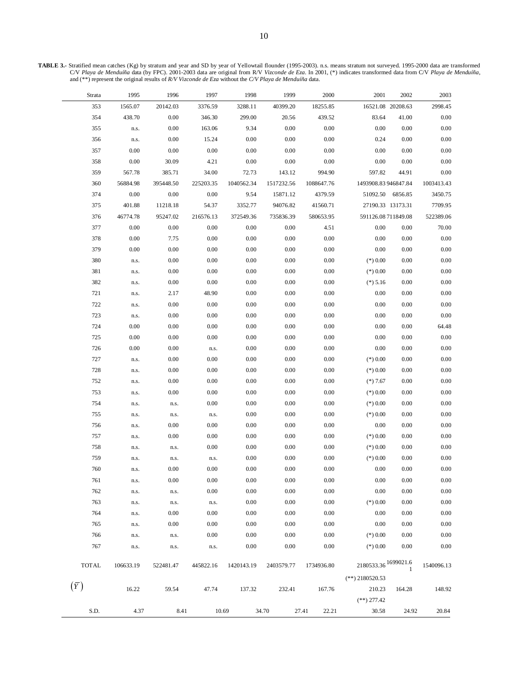**TABLE 3.-** Stratified mean catches (Kg) by stratum and year and SD by year of Yellowtail flounder (1995-2003). n.s. means stratum not surveyed. 1995-2000 data are transformed C/V Playa de Menduíña data (by FPC). 2001-2003 data are original from R/V Vizconde de Eza. In 2001, (\*) indicates transformed data from C/V Playa de Menduíña,<br>and (\*\*) represent the original results of R/V Vizconde de Eza

 $\qquad \qquad$ 

| Strata       | 1995      | 1996      | 1997      | 1998       | 1999       | 2000           | 2001                    | 2002    | 2003       |
|--------------|-----------|-----------|-----------|------------|------------|----------------|-------------------------|---------|------------|
| 353          | 1565.07   | 20142.03  | 3376.59   | 3288.11    | 40399.20   | 18255.85       | 16521.08 20208.63       |         | 2998.45    |
| 354          | 438.70    | $0.00\,$  | 346.30    | 299.00     | 20.56      | 439.52         | 83.64                   | 41.00   | $0.00\,$   |
| 355          | n.s.      | 0.00      | 163.06    | 9.34       | 0.00       | 0.00           | 0.00                    | 0.00    | $0.00\,$   |
| 356          | n.s.      | 0.00      | 15.24     | 0.00       | 0.00       | 0.00           | 0.24                    | 0.00    | $0.00\,$   |
| 357          | 0.00      | 0.00      | 0.00      | 0.00       | 0.00       | 0.00           | 0.00                    | 0.00    | $0.00\,$   |
| 358          | 0.00      | 30.09     | 4.21      | 0.00       | 0.00       | 0.00           | 0.00                    | 0.00    | $0.00\,$   |
| 359          | 567.78    | 385.71    | 34.00     | 72.73      | 143.12     | 994.90         | 597.82                  | 44.91   | $0.00\,$   |
| 360          | 56884.98  | 395448.50 | 225203.35 | 1040562.34 | 1517232.56 | 1088647.76     | 1493908.83946847.84     |         | 1003413.43 |
| 374          | 0.00      | 0.00      | 0.00      | 9.54       | 15871.12   | 4379.59        | 51092.50                | 6856.85 | 3450.75    |
| 375          | 401.88    | 11218.18  | 54.37     | 3352.77    | 94076.82   | 41560.71       | 27190.33 13173.31       |         | 7709.95    |
| 376          | 46774.78  | 95247.02  | 216576.13 | 372549.36  | 735836.39  | 580653.95      | 591126.08711849.08      |         | 522389.06  |
| 377          | 0.00      | 0.00      | 0.00      | 0.00       | 0.00       | 4.51           | 0.00                    | 0.00    | 70.00      |
| 378          | 0.00      | 7.75      | 0.00      | 0.00       | 0.00       | 0.00           | 0.00                    | 0.00    | $0.00\,$   |
| 379          | 0.00      | 0.00      | 0.00      | $0.00\,$   | 0.00       | 0.00           | 0.00                    | 0.00    | $0.00\,$   |
| 380          | n.s.      | 0.00      | 0.00      | $0.00\,$   | 0.00       | 0.00           | $(*) 0.00$              | 0.00    | $0.00\,$   |
| 381          | n.s.      | 0.00      | 0.00      | $0.00\,$   | 0.00       | 0.00           | $(*) 0.00$              | 0.00    | $0.00\,$   |
| 382          | n.s.      | 0.00      | 0.00      | 0.00       | 0.00       | 0.00           | $(*) 5.16$              | 0.00    | $0.00\,$   |
| 721          | n.s.      | 2.17      | 48.90     | 0.00       | 0.00       | 0.00           | 0.00                    | 0.00    | $0.00\,$   |
| 722          | n.s.      | 0.00      | $0.00\,$  | $0.00\,$   | 0.00       | 0.00           | 0.00                    | 0.00    | $0.00\,$   |
| 723          | n.s.      | 0.00      | $0.00\,$  | $0.00\,$   | $0.00\,$   | 0.00           | 0.00                    | 0.00    | $0.00\,$   |
| 724          | 0.00      | 0.00      | 0.00      | 0.00       | 0.00       | 0.00           | 0.00                    | 0.00    | 64.48      |
| 725          | 0.00      | 0.00      | 0.00      | 0.00       | 0.00       | 0.00           | 0.00                    | 0.00    | $0.00\,$   |
| 726          | 0.00      | 0.00      | n.s.      | $0.00\,$   | 0.00       | 0.00           | 0.00                    | 0.00    | $0.00\,$   |
| 727          | n.s.      | 0.00      | 0.00      | $0.00\,$   | 0.00       | 0.00           | $(*) 0.00$              | 0.00    | $0.00\,$   |
| 728          | n.s.      | 0.00      | 0.00      | $0.00\,$   | 0.00       | 0.00           | $(*) 0.00$              | 0.00    | $0.00\,$   |
| 752          | n.s.      | 0.00      | 0.00      | $0.00\,$   | 0.00       | 0.00           | $(*)7.67$               | 0.00    | $0.00\,$   |
| 753          | n.s.      | 0.00      | 0.00      | $0.00\,$   | 0.00       | 0.00           | $(*) 0.00$              | 0.00    | $0.00\,$   |
| 754          | n.s.      | n.s.      | 0.00      | $0.00\,$   | 0.00       | 0.00           | $(*) 0.00$              | 0.00    | $0.00\,$   |
| 755          | n.s.      | n.s.      | n.s.      | $0.00\,$   | 0.00       | 0.00           | $(*) 0.00$              | 0.00    | $0.00\,$   |
| 756          | n.s.      | 0.00      | 0.00      | $0.00\,$   | 0.00       | 0.00           | 0.00                    | 0.00    | $0.00\,$   |
| 757          | n.s.      | 0.00      | 0.00      | $0.00\,$   | 0.00       | 0.00           | $(*) 0.00$              | 0.00    | $0.00\,$   |
| 758          | n.s.      | n.s.      | 0.00      | $0.00\,$   | 0.00       | 0.00           | $(*) 0.00$              | 0.00    | $0.00\,$   |
| 759          | n.s.      | n.s.      | n.s.      | $0.00\,$   | 0.00       | 0.00           | $(*) 0.00$              | 0.00    | $0.00\,$   |
| 760          | n.s.      | 0.00      | 0.00      | $0.00\,$   | 0.00       | 0.00           | 0.00                    | 0.00    | $0.00\,$   |
| 761          | n.s.      | 0.00      | 0.00      | $0.00\,$   | 0.00       | 0.00           | 0.00                    | 0.00    | $0.00\,$   |
| 762          | n.s.      | n.s.      | 0.00      | 0.00       | 0.00       | 0.00           | 0.00                    | 0.00    | 0.00       |
| 763          | n.s.      | n.s.      | n.s.      | $0.00\,$   | 0.00       | 0.00           | $(*) 0.00$              | 0.00    | $0.00\,$   |
| 764          | n.s.      | 0.00      | 0.00      | 0.00       | 0.00       | 0.00           | 0.00                    | 0.00    | 0.00       |
| 765          | n.s.      | 0.00      | 0.00      | $0.00\,$   | 0.00       | 0.00           | 0.00                    | 0.00    | 0.00       |
| 766          | n.s.      | n.s.      | 0.00      | $0.00\,$   | 0.00       | 0.00           | $(*) 0.00$              | 0.00    | 0.00       |
| 767          | n.s.      | n.s.      | n.s.      | 0.00       | 0.00       | 0.00           | $(*) 0.00$              | 0.00    | 0.00       |
|              |           |           |           |            |            |                |                         |         |            |
| <b>TOTAL</b> | 106633.19 | 522481.47 | 445822.16 | 1420143.19 | 2403579.77 | 1734936.80     | $2180533.36\,1699021.6$ |         | 1540096.13 |
|              |           |           |           |            |            |                | $(**)$ 2180520.53       |         |            |
| $(\bar{Y})$  | 16.22     | 59.54     | 47.74     | 137.32     | 232.41     | 167.76         | 210.23                  | 164.28  | 148.92     |
|              |           |           |           |            |            |                | $(**)$ 277.42           |         |            |
| S.D.         | 4.37      | 8.41      | 10.69     |            | 34.70      | 27.41<br>22.21 | 30.58                   | 24.92   | 20.84      |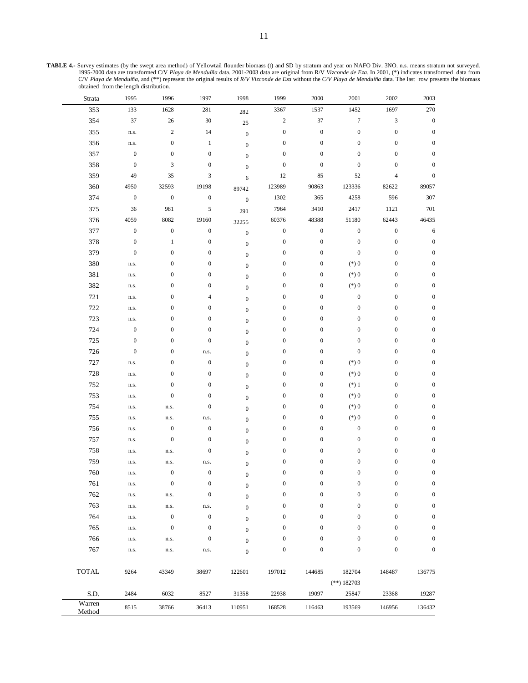**TABLE 4.-** Survey estimates (by the swept area method) of Yellowtail flounder biomass (t) and SD by stratum and year on NAFO Div. 3NO. n.s. means stratum not surveyed. 1995-2000 data are transformed C/V Playa de Menduíña data. 2001-2003 data are original from R/V Vizconde de Eza. In 2001, (\*) indicates transformed data from<br>C/V Playa de Menduíña, and (\*\*) represent the original results o obtained from the length distribution.

| Strata           | 1995             | 1996             | 1997             | 1998             | 1999             | 2000             | 2001             | 2002             | 2003             |
|------------------|------------------|------------------|------------------|------------------|------------------|------------------|------------------|------------------|------------------|
| 353              | 133              | 1628             | 281              | 282              | 3367             | 1537             | 1452             | 1697             | 270              |
| 354              | 37               | $26\,$           | $30\,$           | 25               | $\overline{c}$   | 37               | $\boldsymbol{7}$ | 3                | $\boldsymbol{0}$ |
| 355              | n.s.             | $\sqrt{2}$       | 14               | $\boldsymbol{0}$ | $\boldsymbol{0}$ | $\boldsymbol{0}$ | $\boldsymbol{0}$ | $\boldsymbol{0}$ | $\boldsymbol{0}$ |
| 356              | n.s.             | $\boldsymbol{0}$ | $\mathbf{1}$     | $\boldsymbol{0}$ | $\boldsymbol{0}$ | $\boldsymbol{0}$ | $\boldsymbol{0}$ | $\boldsymbol{0}$ | $\boldsymbol{0}$ |
| 357              | $\boldsymbol{0}$ | $\boldsymbol{0}$ | $\boldsymbol{0}$ | $\boldsymbol{0}$ | $\boldsymbol{0}$ | $\boldsymbol{0}$ | $\boldsymbol{0}$ | $\boldsymbol{0}$ | $\boldsymbol{0}$ |
| 358              | $\boldsymbol{0}$ | $\mathfrak{Z}$   | $\boldsymbol{0}$ | $\boldsymbol{0}$ | $\boldsymbol{0}$ | $\boldsymbol{0}$ | $\boldsymbol{0}$ | $\boldsymbol{0}$ | $\boldsymbol{0}$ |
| 359              | 49               | 35               | 3                | 6                | 12               | 85               | 52               | $\overline{4}$   | $\boldsymbol{0}$ |
| 360              | 4950             | 32593            | 19198            | 89742            | 123989           | 90863            | 123336           | 82622            | 89057            |
| 374              | $\boldsymbol{0}$ | $\boldsymbol{0}$ | $\boldsymbol{0}$ | $\boldsymbol{0}$ | 1302             | 365              | 4258             | 596              | 307              |
| 375              | 36               | 981              | 5                | 291              | 7964             | 3410             | 2417             | 1121             | 701              |
| 376              | 4059             | 8082             | 19160            | 32255            | 60376            | 48388            | 51180            | 62443            | 46435            |
| 377              | $\boldsymbol{0}$ | $\boldsymbol{0}$ | $\boldsymbol{0}$ | $\boldsymbol{0}$ | $\boldsymbol{0}$ | $\boldsymbol{0}$ | $\boldsymbol{0}$ | $\boldsymbol{0}$ | 6                |
| 378              | $\boldsymbol{0}$ | $\mathbf{1}$     | $\boldsymbol{0}$ | $\boldsymbol{0}$ | $\boldsymbol{0}$ | $\boldsymbol{0}$ | $\boldsymbol{0}$ | $\boldsymbol{0}$ | $\boldsymbol{0}$ |
| 379              | $\boldsymbol{0}$ | $\boldsymbol{0}$ | $\boldsymbol{0}$ | $\boldsymbol{0}$ | $\boldsymbol{0}$ | $\mathbf{0}$     | $\boldsymbol{0}$ | $\boldsymbol{0}$ | $\boldsymbol{0}$ |
| 380              | n.s.             | $\boldsymbol{0}$ | $\boldsymbol{0}$ | $\boldsymbol{0}$ | $\boldsymbol{0}$ | $\boldsymbol{0}$ | $(*)0$           | $\boldsymbol{0}$ | $\boldsymbol{0}$ |
| 381              | n.s.             | $\boldsymbol{0}$ | $\boldsymbol{0}$ | $\boldsymbol{0}$ | $\boldsymbol{0}$ | $\mathbf{0}$     | $(*)0$           | $\boldsymbol{0}$ | $\boldsymbol{0}$ |
| 382              | n.s.             | $\boldsymbol{0}$ | $\boldsymbol{0}$ | $\boldsymbol{0}$ | $\boldsymbol{0}$ | $\boldsymbol{0}$ | $(*)0$           | $\boldsymbol{0}$ | $\boldsymbol{0}$ |
| 721              | n.s.             | $\boldsymbol{0}$ | 4                | $\boldsymbol{0}$ | $\boldsymbol{0}$ | $\boldsymbol{0}$ | $\boldsymbol{0}$ | $\boldsymbol{0}$ | $\boldsymbol{0}$ |
| 722              | n.s.             | $\boldsymbol{0}$ | $\boldsymbol{0}$ | $\boldsymbol{0}$ | $\boldsymbol{0}$ | $\boldsymbol{0}$ | $\boldsymbol{0}$ | $\boldsymbol{0}$ | $\boldsymbol{0}$ |
| 723              | n.s.             | $\boldsymbol{0}$ | $\boldsymbol{0}$ | $\boldsymbol{0}$ | $\boldsymbol{0}$ | $\boldsymbol{0}$ | $\boldsymbol{0}$ | $\boldsymbol{0}$ | $\boldsymbol{0}$ |
| 724              | $\boldsymbol{0}$ | $\boldsymbol{0}$ | $\boldsymbol{0}$ | $\boldsymbol{0}$ | $\boldsymbol{0}$ | $\boldsymbol{0}$ | $\boldsymbol{0}$ | $\boldsymbol{0}$ | $\boldsymbol{0}$ |
| 725              | $\boldsymbol{0}$ | $\boldsymbol{0}$ | $\boldsymbol{0}$ | $\boldsymbol{0}$ | $\boldsymbol{0}$ | $\boldsymbol{0}$ | $\boldsymbol{0}$ | $\boldsymbol{0}$ | $\boldsymbol{0}$ |
| 726              | $\boldsymbol{0}$ | $\boldsymbol{0}$ | n.s.             | $\boldsymbol{0}$ | $\boldsymbol{0}$ | $\boldsymbol{0}$ | $\boldsymbol{0}$ | $\boldsymbol{0}$ | $\boldsymbol{0}$ |
| 727              | n.s.             | $\boldsymbol{0}$ | $\boldsymbol{0}$ | $\boldsymbol{0}$ | $\boldsymbol{0}$ | $\mathbf{0}$     | $(\ast)$ 0       | $\boldsymbol{0}$ | $\boldsymbol{0}$ |
| 728              | n.s.             | $\boldsymbol{0}$ | $\boldsymbol{0}$ | $\boldsymbol{0}$ | $\boldsymbol{0}$ | $\boldsymbol{0}$ | $(*)0$           | $\boldsymbol{0}$ | $\boldsymbol{0}$ |
| 752              | n.s.             | $\boldsymbol{0}$ | $\boldsymbol{0}$ | $\boldsymbol{0}$ | $\boldsymbol{0}$ | $\boldsymbol{0}$ | $(*)1$           | $\boldsymbol{0}$ | $\boldsymbol{0}$ |
| 753              | n.s.             | $\boldsymbol{0}$ | $\boldsymbol{0}$ | $\boldsymbol{0}$ | $\boldsymbol{0}$ | $\boldsymbol{0}$ | $(*)0$           | $\boldsymbol{0}$ | $\boldsymbol{0}$ |
| 754              | n.s.             | n.s.             | $\boldsymbol{0}$ | $\boldsymbol{0}$ | $\boldsymbol{0}$ | $\mathbf{0}$     | $(*)0$           | $\boldsymbol{0}$ | $\boldsymbol{0}$ |
| 755              | n.s.             | n.s.             | n.s.             | $\boldsymbol{0}$ | $\boldsymbol{0}$ | $\boldsymbol{0}$ | $(*)0$           | $\boldsymbol{0}$ | $\boldsymbol{0}$ |
| 756              | n.s.             | $\boldsymbol{0}$ | $\boldsymbol{0}$ | $\boldsymbol{0}$ | $\boldsymbol{0}$ | $\mathbf{0}$     | $\boldsymbol{0}$ | $\boldsymbol{0}$ | $\boldsymbol{0}$ |
| 757              | n.s.             | $\boldsymbol{0}$ | $\boldsymbol{0}$ | $\boldsymbol{0}$ | $\boldsymbol{0}$ | $\boldsymbol{0}$ | $\boldsymbol{0}$ | $\boldsymbol{0}$ | $\boldsymbol{0}$ |
| 758              | n.s.             | n.s.             | $\boldsymbol{0}$ | $\boldsymbol{0}$ | $\boldsymbol{0}$ | $\boldsymbol{0}$ | $\boldsymbol{0}$ | $\boldsymbol{0}$ | $\boldsymbol{0}$ |
| 759              | n.s.             | n.s.             | n.s.             | $\boldsymbol{0}$ | $\boldsymbol{0}$ | $\boldsymbol{0}$ | $\boldsymbol{0}$ | $\boldsymbol{0}$ | $\boldsymbol{0}$ |
| 760              | n.s.             | $\boldsymbol{0}$ | $\boldsymbol{0}$ | $\boldsymbol{0}$ | $\boldsymbol{0}$ | $\boldsymbol{0}$ | $\boldsymbol{0}$ | $\boldsymbol{0}$ | $\boldsymbol{0}$ |
| 761              | n.s.             | $\bf{0}$         | $\boldsymbol{0}$ | $\boldsymbol{0}$ | $\boldsymbol{0}$ | 0                | 0                | $\boldsymbol{0}$ | 0                |
| 762              | n.s.             | n.s.             | $\boldsymbol{0}$ | $\boldsymbol{0}$ | $\boldsymbol{0}$ | $\boldsymbol{0}$ | $\boldsymbol{0}$ | $\boldsymbol{0}$ | $\boldsymbol{0}$ |
| 763              | n.s.             | n.s.             | n.s.             | $\boldsymbol{0}$ | $\boldsymbol{0}$ | $\boldsymbol{0}$ | $\boldsymbol{0}$ | $\boldsymbol{0}$ | $\boldsymbol{0}$ |
| 764              | n.s.             | $\boldsymbol{0}$ | $\boldsymbol{0}$ | $\boldsymbol{0}$ | $\boldsymbol{0}$ | $\boldsymbol{0}$ | $\boldsymbol{0}$ | $\boldsymbol{0}$ | $\boldsymbol{0}$ |
| 765              | n.s.             | $\boldsymbol{0}$ | $\boldsymbol{0}$ | $\boldsymbol{0}$ | $\boldsymbol{0}$ | $\mathbf{0}$     | $\boldsymbol{0}$ | $\boldsymbol{0}$ | $\boldsymbol{0}$ |
| 766              | n.s.             | n.s.             | $\boldsymbol{0}$ | $\boldsymbol{0}$ | $\boldsymbol{0}$ | $\boldsymbol{0}$ | $\boldsymbol{0}$ | $\boldsymbol{0}$ | $\boldsymbol{0}$ |
| 767              | n.s.             | n.s.             | n.s.             | $\boldsymbol{0}$ | $\boldsymbol{0}$ | $\boldsymbol{0}$ | $\boldsymbol{0}$ | $\boldsymbol{0}$ | $\boldsymbol{0}$ |
|                  |                  |                  |                  |                  |                  |                  |                  |                  |                  |
| <b>TOTAL</b>     | 9264             | 43349            | 38697            | 122601           | 197012           | 144685           | 182704           | 148487           | 136775           |
|                  |                  |                  |                  |                  |                  |                  | $(**)$ 182703    |                  |                  |
| S.D.             | 2484             | 6032             | 8527             | 31358            | 22938            | 19097            | 25847            | 23368            | 19287            |
| Warren<br>Method | 8515             | 38766            | 36413            | 110951           | 168528           | 116463           | 193569           | 146956           | 136432           |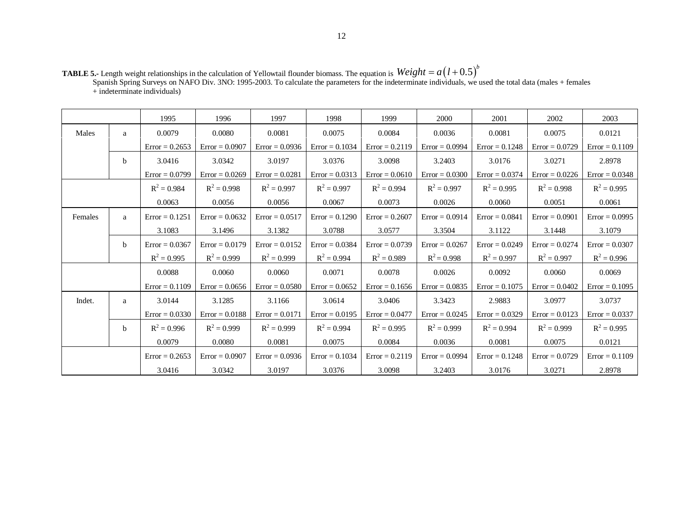**TABLE 5.-** Length weight relationships in the calculation of Yellowtail flounder biomass. The equation is Spanish Spring Surveys on NAFO Div. 3NO: 1995-2003. To calculate the parameters for the indeterminate individuals, we used the total data (males + females  $+$  indeterminate individuals)  $Weight = a(l+0.5)^b$ 

|         |             | 1995             | 1996             | 1997             | 1998             | 1999             | 2000             | 2001             | 2002             | 2003             |
|---------|-------------|------------------|------------------|------------------|------------------|------------------|------------------|------------------|------------------|------------------|
| Males   | a           | 0.0079           | 0.0080           | 0.0081           | 0.0075           | 0.0084           | 0.0036           | 0.0081           | 0.0075           | 0.0121           |
|         |             | $Error = 0.2653$ | $Error = 0.0907$ | $Error = 0.0936$ | $Error = 0.1034$ | $Error = 0.2119$ | $Error = 0.0994$ | $Error = 0.1248$ | $Error = 0.0729$ | $Error = 0.1109$ |
|         | b           | 3.0416           | 3.0342           | 3.0197           | 3.0376           | 3.0098           | 3.2403           | 3.0176           | 3.0271           | 2.8978           |
|         |             | $Error = 0.0799$ | $Error = 0.0269$ | $Error = 0.0281$ | $Error = 0.0313$ | $Error = 0.0610$ | $Error = 0.0300$ | $Error = 0.0374$ | $Error = 0.0226$ | $Error = 0.0348$ |
|         |             | $R^2 = 0.984$    | $R^2 = 0.998$    | $R^2 = 0.997$    | $R^2 = 0.997$    | $R^2 = 0.994$    | $R^2 = 0.997$    | $R^2 = 0.995$    | $R^2 = 0.998$    | $R^2 = 0.995$    |
|         |             | 0.0063           | 0.0056           | 0.0056           | 0.0067           | 0.0073           | 0.0026           | 0.0060           | 0.0051           | 0.0061           |
| Females | a           | $Error = 0.1251$ | $Error = 0.0632$ | $Error = 0.0517$ | $Error = 0.1290$ | $Error = 0.2607$ | $Error = 0.0914$ | $Error = 0.0841$ | $Error = 0.0901$ | $Error = 0.0995$ |
|         |             | 3.1083           | 3.1496           | 3.1382           | 3.0788           | 3.0577           | 3.3504           | 3.1122           | 3.1448           | 3.1079           |
|         | $\mathbf b$ | $Error = 0.0367$ | $Error = 0.0179$ | $Error = 0.0152$ | $Error = 0.0384$ | $Error = 0.0739$ | $Error = 0.0267$ | $Error = 0.0249$ | $Error = 0.0274$ | $Error = 0.0307$ |
|         |             | $R^2 = 0.995$    | $R^2 = 0.999$    | $R^2 = 0.999$    | $R^2 = 0.994$    | $R^2 = 0.989$    | $R^2 = 0.998$    | $R^2 = 0.997$    | $R^2 = 0.997$    | $R^2 = 0.996$    |
|         |             | 0.0088           | 0.0060           | 0.0060           | 0.0071           | 0.0078           | 0.0026           | 0.0092           | 0.0060           | 0.0069           |
|         |             | $Error = 0.1109$ | $Error = 0.0656$ | $Error = 0.0580$ | $Error = 0.0652$ | $Error = 0.1656$ | $Error = 0.0835$ | $Error = 0.1075$ | $Error = 0.0402$ | $Error = 0.1095$ |
| Indet.  | a           | 3.0144           | 3.1285           | 3.1166           | 3.0614           | 3.0406           | 3.3423           | 2.9883           | 3.0977           | 3.0737           |
|         |             | $Error = 0.0330$ | $Error = 0.0188$ | $Error = 0.0171$ | $Error = 0.0195$ | $Error = 0.0477$ | $Error = 0.0245$ | $Error = 0.0329$ | $Error = 0.0123$ | $Error = 0.0337$ |
|         | $\mathbf b$ | $R^2 = 0.996$    | $R^2 = 0.999$    | $R^2 = 0.999$    | $R^2 = 0.994$    | $R^2 = 0.995$    | $R^2 = 0.999$    | $R^2 = 0.994$    | $R^2 = 0.999$    | $R^2 = 0.995$    |
|         |             | 0.0079           | 0.0080           | 0.0081           | 0.0075           | 0.0084           | 0.0036           | 0.0081           | 0.0075           | 0.0121           |
|         |             | $Error = 0.2653$ | $Error = 0.0907$ | $Error = 0.0936$ | $Error = 0.1034$ | $Error = 0.2119$ | $Error = 0.0994$ | $Error = 0.1248$ | $Error = 0.0729$ | $Error = 0.1109$ |
|         |             | 3.0416           | 3.0342           | 3.0197           | 3.0376           | 3.0098           | 3.2403           | 3.0176           | 3.0271           | 2.8978           |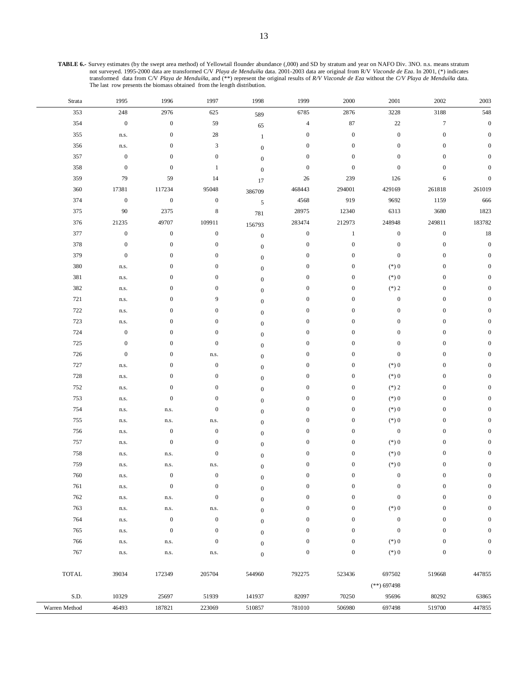**TABLE 6.-** Survey estimates (by the swept area method) of Yellowtail flounder abundance (,000) and SD by stratum and year on NAFO Div. 3NO. n.s. means stratum not surveyed. 1995-2000 data are transformed C/V Playa de Menduíña data. 2001-2003 data are original from R/V Vizconde de Eza. In 2001, (\*) indicates<br>transformed data from C/V Playa de Menduíña, and (\*\*) represent the orig The last row presents the biomass obtained from the length distribution.

÷,

| Strata        | 1995             | 1996             | 1997             | 1998             | 1999             | 2000             | 2001             | 2002             | 2003             |
|---------------|------------------|------------------|------------------|------------------|------------------|------------------|------------------|------------------|------------------|
| 353           | $248\,$          | 2976             | 625              | 589              | 6785             | 2876             | 3228             | 3188             | 548              |
| 354           | $\boldsymbol{0}$ | $\boldsymbol{0}$ | 59               | 65               | $\sqrt{4}$       | $87\,$           | 22               | $\boldsymbol{7}$ | $\boldsymbol{0}$ |
| 355           | n.s.             | $\boldsymbol{0}$ | $28\,$           | $\mathbf{1}$     | $\boldsymbol{0}$ | $\boldsymbol{0}$ | $\boldsymbol{0}$ | $\boldsymbol{0}$ | $\overline{0}$   |
| 356           | n.s.             | $\boldsymbol{0}$ | $\mathfrak{Z}$   | $\boldsymbol{0}$ | $\boldsymbol{0}$ | $\boldsymbol{0}$ | $\boldsymbol{0}$ | $\boldsymbol{0}$ |                  |
| 357           | $\boldsymbol{0}$ | $\boldsymbol{0}$ | $\boldsymbol{0}$ | $\boldsymbol{0}$ | $\boldsymbol{0}$ | $\boldsymbol{0}$ | $\boldsymbol{0}$ | $\mathbf{0}$     |                  |
| 358           | $\boldsymbol{0}$ | $\boldsymbol{0}$ | $\mathbf{1}$     | $\boldsymbol{0}$ | $\boldsymbol{0}$ | $\boldsymbol{0}$ | $\boldsymbol{0}$ | $\mathbf{0}$     | 0                |
| 359           | 79               | 59               | 14               | 17               | 26               | 239              | 126              | 6                | $\mathbf{0}$     |
| 360           | 17381            | 117234           | 95048            | 386709           | 468443           | 294001           | 429169           | 261818           | 261019           |
| 374           | $\boldsymbol{0}$ | $\boldsymbol{0}$ | $\boldsymbol{0}$ | $\sqrt{5}$       | 4568             | 919              | 9692             | 1159             | 666              |
| 375           | $90\,$           | 2375             | $\,8\,$          | 781              | 28975            | 12340            | 6313             | 3680             | 1823             |
| 376           | 21235            | 49707            | 109911           | 156793           | 283474           | 212973           | 248948           | 249811           | 183782           |
| 377           | $\boldsymbol{0}$ | $\boldsymbol{0}$ | $\boldsymbol{0}$ | $\boldsymbol{0}$ | $\boldsymbol{0}$ | $\mathbf{1}$     | $\boldsymbol{0}$ | $\boldsymbol{0}$ | $18\,$           |
| 378           | $\boldsymbol{0}$ | $\boldsymbol{0}$ | $\boldsymbol{0}$ | $\boldsymbol{0}$ | $\boldsymbol{0}$ | $\boldsymbol{0}$ | $\boldsymbol{0}$ | $\boldsymbol{0}$ | $\boldsymbol{0}$ |
| 379           | $\boldsymbol{0}$ | $\boldsymbol{0}$ | $\boldsymbol{0}$ | $\boldsymbol{0}$ | $\boldsymbol{0}$ | $\boldsymbol{0}$ | $\boldsymbol{0}$ | $\boldsymbol{0}$ | $\mathbf{0}$     |
| 380           | n.s.             | $\boldsymbol{0}$ | $\boldsymbol{0}$ | $\boldsymbol{0}$ | $\boldsymbol{0}$ | $\boldsymbol{0}$ | $(\ast)$ 0       | $\boldsymbol{0}$ | $\Omega$         |
| 381           | n.s.             | $\boldsymbol{0}$ | $\boldsymbol{0}$ | $\mathbf{0}$     | $\boldsymbol{0}$ | $\boldsymbol{0}$ | $(\ast)$ 0       | $\boldsymbol{0}$ |                  |
| 382           | n.s.             | $\boldsymbol{0}$ | $\boldsymbol{0}$ | $\mathbf{0}$     | $\boldsymbol{0}$ | $\boldsymbol{0}$ | $(*)2$           | $\boldsymbol{0}$ |                  |
| 721           | n.s.             | $\boldsymbol{0}$ | 9                | $\mathbf{0}$     | $\boldsymbol{0}$ | $\boldsymbol{0}$ | $\boldsymbol{0}$ | $\boldsymbol{0}$ |                  |
| 722           | n.s.             | $\boldsymbol{0}$ | $\boldsymbol{0}$ | $\boldsymbol{0}$ | $\boldsymbol{0}$ | $\boldsymbol{0}$ | $\boldsymbol{0}$ | $\boldsymbol{0}$ |                  |
| 723           | n.s.             | $\boldsymbol{0}$ | $\boldsymbol{0}$ | $\boldsymbol{0}$ | $\boldsymbol{0}$ | $\boldsymbol{0}$ | $\boldsymbol{0}$ | $\boldsymbol{0}$ |                  |
| 724           | $\boldsymbol{0}$ | $\boldsymbol{0}$ | $\mathbf{0}$     | $\boldsymbol{0}$ | $\boldsymbol{0}$ | $\boldsymbol{0}$ | $\boldsymbol{0}$ | $\boldsymbol{0}$ | O                |
| 725           | $\boldsymbol{0}$ | $\boldsymbol{0}$ | $\boldsymbol{0}$ | $\boldsymbol{0}$ | $\boldsymbol{0}$ | $\boldsymbol{0}$ | $\boldsymbol{0}$ | $\boldsymbol{0}$ |                  |
| 726           | $\boldsymbol{0}$ | $\boldsymbol{0}$ | n.s.             | $\boldsymbol{0}$ | $\boldsymbol{0}$ | $\boldsymbol{0}$ | $\boldsymbol{0}$ | $\boldsymbol{0}$ | O                |
| 727           | n.s.             | $\boldsymbol{0}$ | $\boldsymbol{0}$ | $\mathbf{0}$     | $\boldsymbol{0}$ | $\boldsymbol{0}$ | $(\ast)$ 0       | $\boldsymbol{0}$ |                  |
| 728           | n.s.             | $\boldsymbol{0}$ | $\boldsymbol{0}$ | $\boldsymbol{0}$ | $\boldsymbol{0}$ | $\boldsymbol{0}$ | $(\ast)$ 0       | $\boldsymbol{0}$ | $\Omega$         |
| 752           | n.s.             | $\boldsymbol{0}$ | $\boldsymbol{0}$ | $\mathbf{0}$     | $\boldsymbol{0}$ | $\boldsymbol{0}$ | $(*)2$           | $\boldsymbol{0}$ | $\Omega$         |
| 753           | n.s.             | $\boldsymbol{0}$ | $\boldsymbol{0}$ | $\boldsymbol{0}$ | $\boldsymbol{0}$ | $\boldsymbol{0}$ | $(\ast)$ 0       | $\boldsymbol{0}$ | $\Omega$         |
| 754           | n.s.             | n.s.             | $\boldsymbol{0}$ | $\boldsymbol{0}$ | $\boldsymbol{0}$ | $\boldsymbol{0}$ | $(\ast)$ 0       | $\boldsymbol{0}$ |                  |
| 755           | n.s.             | n.s.             | n.s.             | $\boldsymbol{0}$ | $\boldsymbol{0}$ | $\boldsymbol{0}$ | $(\ast)$ 0       | $\mathbf{0}$     | O                |
| 756           | n.s.             | $\boldsymbol{0}$ | $\boldsymbol{0}$ | $\boldsymbol{0}$ | $\boldsymbol{0}$ | $\boldsymbol{0}$ | $\boldsymbol{0}$ | $\boldsymbol{0}$ |                  |
| 757           | n.s.             | $\boldsymbol{0}$ | $\boldsymbol{0}$ | $\boldsymbol{0}$ | $\boldsymbol{0}$ | $\boldsymbol{0}$ | $(\ast)$ 0       | $\boldsymbol{0}$ |                  |
| 758           | n.s.             | n.s.             | $\boldsymbol{0}$ | $\mathbf{0}$     | $\boldsymbol{0}$ | $\boldsymbol{0}$ | $(\ast)$ 0       | $\boldsymbol{0}$ |                  |
| 759           | n.s.             | n.s.             | n.s.             | $\boldsymbol{0}$ | $\boldsymbol{0}$ | $\boldsymbol{0}$ | $(\ast)$ 0       | $\boldsymbol{0}$ | 0                |
| 760           | n.s.             | $\boldsymbol{0}$ | $\boldsymbol{0}$ | $\boldsymbol{0}$ | $\boldsymbol{0}$ | $\boldsymbol{0}$ | $\boldsymbol{0}$ | $\boldsymbol{0}$ | $\mathbf{0}$     |
| 761           | n.s.             | $\bf{0}$         | $\boldsymbol{0}$ | $\boldsymbol{0}$ | $\boldsymbol{0}$ | $\boldsymbol{0}$ | $\boldsymbol{0}$ | $\boldsymbol{0}$ | $\bf{0}$         |
| 762           | n.s.             | n.s.             | $\boldsymbol{0}$ | $\boldsymbol{0}$ | $\boldsymbol{0}$ | $\boldsymbol{0}$ | $\boldsymbol{0}$ | $\mathbf{0}$     | $\boldsymbol{0}$ |
| 763           | n.s.             | n.s.             | n.s.             | $\boldsymbol{0}$ | $\boldsymbol{0}$ | $\boldsymbol{0}$ | $(\ast)$ 0       | $\mathbf{0}$     | $\boldsymbol{0}$ |
| 764           | n.s.             | $\boldsymbol{0}$ | $\boldsymbol{0}$ | $\boldsymbol{0}$ | $\boldsymbol{0}$ | $\boldsymbol{0}$ | $\boldsymbol{0}$ | $\mathbf{0}$     | $\boldsymbol{0}$ |
| 765           | n.s.             | $\mathbf{0}$     | $\boldsymbol{0}$ | $\mathbf{0}$     | $\boldsymbol{0}$ | $\boldsymbol{0}$ | $\boldsymbol{0}$ | $\mathbf{0}$     | $\boldsymbol{0}$ |
| 766           | n.s.             | n.s.             | $\boldsymbol{0}$ | $\mathbf{0}$     | $\boldsymbol{0}$ | $\boldsymbol{0}$ | $(*)0$           | $\boldsymbol{0}$ | $\boldsymbol{0}$ |
| 767           | n.s.             | n.s.             | n.s.             | $\overline{0}$   | $\boldsymbol{0}$ | $\boldsymbol{0}$ | $(\ast)$ 0       | $\boldsymbol{0}$ | $\boldsymbol{0}$ |
| <b>TOTAL</b>  | 39034            | 172349           | 205704           | 544960           | 792275           | 523436           | 697502           | 519668           | 447855           |
|               |                  |                  |                  |                  |                  |                  | $(**)$ 697498    |                  |                  |
| S.D.          | 10329            | 25697            | 51939            | 141937           | 82097            | 70250            | 95696            | 80292            | 63865            |
| Warren Method | 46493            | 187821           | 223069           | 510857           | 781010           | 506980           | 697498           | 519700           | 447855           |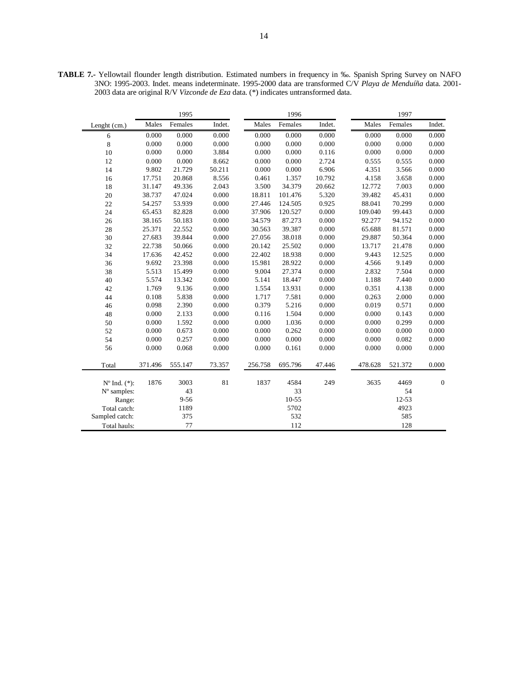|                          |         | 1995     |        |         | 1996      |        |         | 1997    |              |
|--------------------------|---------|----------|--------|---------|-----------|--------|---------|---------|--------------|
| Lenght (cm.)             | Males   | Females  | Indet. | Males   | Females   | Indet. | Males   | Females | Indet.       |
| 6                        | 0.000   | 0.000    | 0.000  | 0.000   | 0.000     | 0.000  | 0.000   | 0.000   | 0.000        |
| $\,8\,$                  | 0.000   | 0.000    | 0.000  | 0.000   | 0.000     | 0.000  | 0.000   | 0.000   | 0.000        |
| 10                       | 0.000   | 0.000    | 3.884  | 0.000   | 0.000     | 0.116  | 0.000   | 0.000   | 0.000        |
| 12                       | 0.000   | 0.000    | 8.662  | 0.000   | 0.000     | 2.724  | 0.555   | 0.555   | 0.000        |
| 14                       | 9.802   | 21.729   | 50.211 | 0.000   | 0.000     | 6.906  | 4.351   | 3.566   | 0.000        |
| 16                       | 17.751  | 20.868   | 8.556  | 0.461   | 1.357     | 10.792 | 4.158   | 3.658   | 0.000        |
| 18                       | 31.147  | 49.336   | 2.043  | 3.500   | 34.379    | 20.662 | 12.772  | 7.003   | 0.000        |
| 20                       | 38.737  | 47.024   | 0.000  | 18.811  | 101.476   | 5.320  | 39.482  | 45.431  | 0.000        |
| 22                       | 54.257  | 53.939   | 0.000  | 27.446  | 124.505   | 0.925  | 88.041  | 70.299  | 0.000        |
| 24                       | 65.453  | 82.828   | 0.000  | 37.906  | 120.527   | 0.000  | 109.040 | 99.443  | 0.000        |
| 26                       | 38.165  | 50.183   | 0.000  | 34.579  | 87.273    | 0.000  | 92.277  | 94.152  | 0.000        |
| 28                       | 25.371  | 22.552   | 0.000  | 30.563  | 39.387    | 0.000  | 65.688  | 81.571  | 0.000        |
| 30                       | 27.683  | 39.844   | 0.000  | 27.056  | 38.018    | 0.000  | 29.887  | 50.364  | 0.000        |
| 32                       | 22.738  | 50.066   | 0.000  | 20.142  | 25.502    | 0.000  | 13.717  | 21.478  | 0.000        |
| 34                       | 17.636  | 42.452   | 0.000  | 22.402  | 18.938    | 0.000  | 9.443   | 12.525  | 0.000        |
| 36                       | 9.692   | 23.398   | 0.000  | 15.981  | 28.922    | 0.000  | 4.566   | 9.149   | 0.000        |
| 38                       | 5.513   | 15.499   | 0.000  | 9.004   | 27.374    | 0.000  | 2.832   | 7.504   | 0.000        |
| 40                       | 5.574   | 13.342   | 0.000  | 5.141   | 18.447    | 0.000  | 1.188   | 7.440   | 0.000        |
| 42                       | 1.769   | 9.136    | 0.000  | 1.554   | 13.931    | 0.000  | 0.351   | 4.138   | 0.000        |
| 44                       | 0.108   | 5.838    | 0.000  | 1.717   | 7.581     | 0.000  | 0.263   | 2.000   | 0.000        |
| 46                       | 0.098   | 2.390    | 0.000  | 0.379   | 5.216     | 0.000  | 0.019   | 0.571   | 0.000        |
| 48                       | 0.000   | 2.133    | 0.000  | 0.116   | 1.504     | 0.000  | 0.000   | 0.143   | 0.000        |
| 50                       | 0.000   | 1.592    | 0.000  | 0.000   | 1.036     | 0.000  | 0.000   | 0.299   | 0.000        |
| 52                       | 0.000   | 0.673    | 0.000  | 0.000   | 0.262     | 0.000  | 0.000   | 0.000   | 0.000        |
| 54                       | 0.000   | 0.257    | 0.000  | 0.000   | $0.000\,$ | 0.000  | 0.000   | 0.082   | $0.000\,$    |
| 56                       | 0.000   | 0.068    | 0.000  | 0.000   | 0.161     | 0.000  | 0.000   | 0.000   | 0.000        |
| Total                    | 371.496 | 555.147  | 73.357 | 256.758 | 695.796   | 47.446 | 478.628 | 521.372 | 0.000        |
| $N^{\circ}$ Ind. $(*)$ : | 1876    | 3003     | 81     | 1837    | 4584      | 249    | 3635    | 4469    | $\mathbf{0}$ |
| $No$ samples:            |         | 43       |        |         | 33        |        |         | 54      |              |
| Range:                   |         | $9 - 56$ |        |         | $10 - 55$ |        |         | 12-53   |              |
| Total catch:             |         | 1189     |        |         | 5702      |        |         | 4923    |              |
| Sampled catch:           |         | 375      |        |         | 532       |        |         | 585     |              |
| Total hauls:             |         | 77       |        |         | 112       |        |         | 128     |              |

**TABLE 7.-** Yellowtail flounder length distribution. Estimated numbers in frequency in ‰. Spanish Spring Survey on NAFO 3NO: 1995-2003. Indet. means indeterminate. 1995-2000 data are transformed C/V *Playa de Menduíña* data. 2001- 2003 data are original R/V *Vizconde de Eza* data. (\*) indicates untransformed data.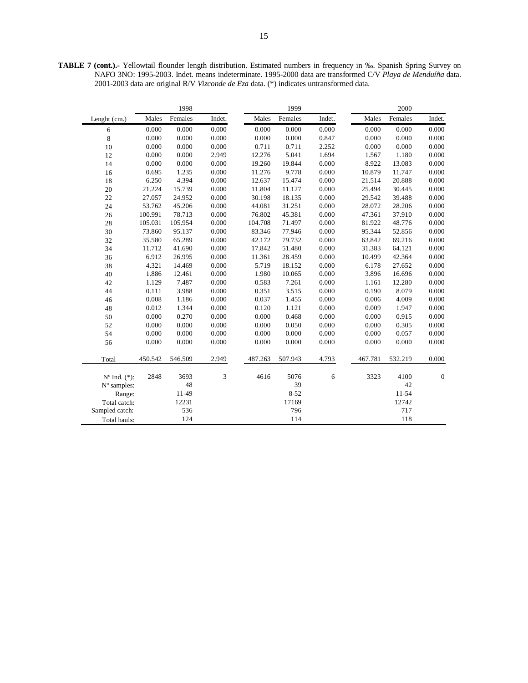**TABLE 7 (cont.).-** Yellowtail flounder length distribution. Estimated numbers in frequency in ‰. Spanish Spring Survey on NAFO 3NO: 1995-2003. Indet. means indeterminate. 1995-2000 data are transformed C/V *Playa de Menduíña* data. 2001-2003 data are original R/V *Vizconde de Eza* data. (\*) indicates untransformed data.

|                          |         | 1998    |           |         | 1999     |        |         | 2000    |                  |
|--------------------------|---------|---------|-----------|---------|----------|--------|---------|---------|------------------|
| Lenght (cm.)             | Males   | Females | Indet.    | Males   | Females  | Indet. | Males   | Females | Indet.           |
| 6                        | 0.000   | 0.000   | 0.000     | 0.000   | 0.000    | 0.000  | 0.000   | 0.000   | 0.000            |
| 8                        | 0.000   | 0.000   | 0.000     | 0.000   | 0.000    | 0.847  | 0.000   | 0.000   | 0.000            |
| 10                       | 0.000   | 0.000   | 0.000     | 0.711   | 0.711    | 2.252  | 0.000   | 0.000   | 0.000            |
| 12                       | 0.000   | 0.000   | 2.949     | 12.276  | 5.041    | 1.694  | 1.567   | 1.180   | 0.000            |
| 14                       | 0.000   | 0.000   | $0.000\,$ | 19.260  | 19.844   | 0.000  | 8.922   | 13.083  | 0.000            |
| 16                       | 0.695   | 1.235   | 0.000     | 11.276  | 9.778    | 0.000  | 10.879  | 11.747  | 0.000            |
| 18                       | 6.250   | 4.394   | 0.000     | 12.637  | 15.474   | 0.000  | 21.514  | 20.888  | 0.000            |
| 20                       | 21.224  | 15.739  | 0.000     | 11.804  | 11.127   | 0.000  | 25.494  | 30.445  | 0.000            |
| 22                       | 27.057  | 24.952  | 0.000     | 30.198  | 18.135   | 0.000  | 29.542  | 39.488  | 0.000            |
| 24                       | 53.762  | 45.206  | 0.000     | 44.081  | 31.251   | 0.000  | 28.072  | 28.206  | 0.000            |
| 26                       | 100.991 | 78.713  | 0.000     | 76.802  | 45.381   | 0.000  | 47.361  | 37.910  | 0.000            |
| 28                       | 105.031 | 105.954 | 0.000     | 104.708 | 71.497   | 0.000  | 81.922  | 48.776  | 0.000            |
| 30                       | 73.860  | 95.137  | 0.000     | 83.346  | 77.946   | 0.000  | 95.344  | 52.856  | 0.000            |
| 32                       | 35.580  | 65.289  | 0.000     | 42.172  | 79.732   | 0.000  | 63.842  | 69.216  | 0.000            |
| 34                       | 11.712  | 41.690  | 0.000     | 17.842  | 51.480   | 0.000  | 31.383  | 64.121  | 0.000            |
| 36                       | 6.912   | 26.995  | 0.000     | 11.361  | 28.459   | 0.000  | 10.499  | 42.364  | 0.000            |
| 38                       | 4.321   | 14.469  | 0.000     | 5.719   | 18.152   | 0.000  | 6.178   | 27.652  | 0.000            |
| 40                       | 1.886   | 12.461  | 0.000     | 1.980   | 10.065   | 0.000  | 3.896   | 16.696  | 0.000            |
| 42                       | 1.129   | 7.487   | 0.000     | 0.583   | 7.261    | 0.000  | 1.161   | 12.280  | 0.000            |
| 44                       | 0.111   | 3.988   | 0.000     | 0.351   | 3.515    | 0.000  | 0.190   | 8.079   | 0.000            |
| 46                       | 0.008   | 1.186   | 0.000     | 0.037   | 1.455    | 0.000  | 0.006   | 4.009   | 0.000            |
| 48                       | 0.012   | 1.344   | 0.000     | 0.120   | 1.121    | 0.000  | 0.009   | 1.947   | 0.000            |
| 50                       | 0.000   | 0.270   | 0.000     | 0.000   | 0.468    | 0.000  | 0.000   | 0.915   | 0.000            |
| 52                       | 0.000   | 0.000   | $0.000\,$ | 0.000   | 0.050    | 0.000  | 0.000   | 0.305   | 0.000            |
| 54                       | 0.000   | 0.000   | 0.000     | 0.000   | 0.000    | 0.000  | 0.000   | 0.057   | 0.000            |
| 56                       | 0.000   | 0.000   | 0.000     | 0.000   | 0.000    | 0.000  | 0.000   | 0.000   | 0.000            |
| Total                    | 450.542 | 546.509 | 2.949     | 487.263 | 507.943  | 4.793  | 467.781 | 532.219 | 0.000            |
| $N^{\circ}$ Ind. $(*)$ : | 2848    | 3693    | 3         | 4616    | 5076     | 6      | 3323    | 4100    | $\boldsymbol{0}$ |
| N° samples:              |         | 48      |           |         | 39       |        |         | 42      |                  |
| Range:                   |         | 11-49   |           |         | $8 - 52$ |        |         | 11-54   |                  |
| Total catch:             |         | 12231   |           |         | 17169    |        |         | 12742   |                  |
| Sampled catch:           |         | 536     |           |         | 796      |        |         | 717     |                  |
| Total hauls:             |         | 124     |           |         | 114      |        |         | 118     |                  |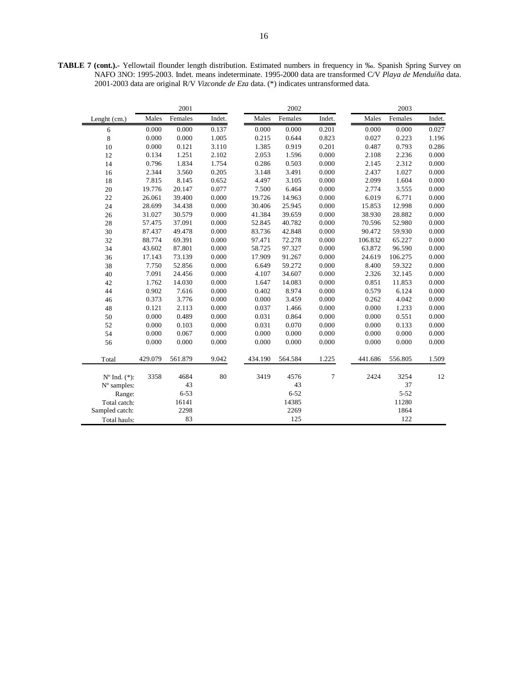**TABLE 7 (cont.).-** Yellowtail flounder length distribution. Estimated numbers in frequency in ‰. Spanish Spring Survey on NAFO 3NO: 1995-2003. Indet. means indeterminate. 1995-2000 data are transformed C/V *Playa de Menduíña* data. 2001-2003 data are original R/V *Vizconde de Eza* data. (\*) indicates untransformed data.

|                          |         | 2001     |        |         | 2002     |        |         | 2003      |        |
|--------------------------|---------|----------|--------|---------|----------|--------|---------|-----------|--------|
| Lenght (cm.)             | Males   | Females  | Indet. | Males   | Females  | Indet. | Males   | Females   | Indet. |
| 6                        | 0.000   | 0.000    | 0.137  | 0.000   | 0.000    | 0.201  | 0.000   | 0.000     | 0.027  |
| 8                        | 0.000   | 0.000    | 1.005  | 0.215   | 0.644    | 0.823  | 0.027   | 0.223     | 1.196  |
| 10                       | 0.000   | 0.121    | 3.110  | 1.385   | 0.919    | 0.201  | 0.487   | 0.793     | 0.286  |
| 12                       | 0.134   | 1.251    | 2.102  | 2.053   | 1.596    | 0.000  | 2.108   | 2.236     | 0.000  |
| 14                       | 0.796   | 1.834    | 1.754  | 0.286   | 0.503    | 0.000  | 2.145   | 2.312     | 0.000  |
| 16                       | 2.344   | 3.560    | 0.205  | 3.148   | 3.491    | 0.000  | 2.437   | 1.027     | 0.000  |
| 18                       | 7.815   | 8.145    | 0.652  | 4.497   | 3.105    | 0.000  | 2.099   | 1.604     | 0.000  |
| $20\,$                   | 19.776  | 20.147   | 0.077  | 7.500   | 6.464    | 0.000  | 2.774   | 3.555     | 0.000  |
| 22                       | 26.061  | 39.400   | 0.000  | 19.726  | 14.963   | 0.000  | 6.019   | 6.771     | 0.000  |
| 24                       | 28.699  | 34.438   | 0.000  | 30.406  | 25.945   | 0.000  | 15.853  | 12.998    | 0.000  |
| $26\,$                   | 31.027  | 30.579   | 0.000  | 41.384  | 39.659   | 0.000  | 38.930  | 28.882    | 0.000  |
| 28                       | 57.475  | 37.091   | 0.000  | 52.845  | 40.782   | 0.000  | 70.596  | 52.980    | 0.000  |
| 30                       | 87.437  | 49.478   | 0.000  | 83.736  | 42.848   | 0.000  | 90.472  | 59.930    | 0.000  |
| 32                       | 88.774  | 69.391   | 0.000  | 97.471  | 72.278   | 0.000  | 106.832 | 65.227    | 0.000  |
| 34                       | 43.602  | 87.801   | 0.000  | 58.725  | 97.327   | 0.000  | 63.872  | 96.590    | 0.000  |
| 36                       | 17.143  | 73.139   | 0.000  | 17.909  | 91.267   | 0.000  | 24.619  | 106.275   | 0.000  |
| 38                       | 7.750   | 52.856   | 0.000  | 6.649   | 59.272   | 0.000  | 8.400   | 59.322    | 0.000  |
| $40\,$                   | 7.091   | 24.456   | 0.000  | 4.107   | 34.607   | 0.000  | 2.326   | 32.145    | 0.000  |
| 42                       | 1.762   | 14.030   | 0.000  | 1.647   | 14.083   | 0.000  | 0.851   | 11.853    | 0.000  |
| 44                       | 0.902   | 7.616    | 0.000  | 0.402   | 8.974    | 0.000  | 0.579   | 6.124     | 0.000  |
| 46                       | 0.373   | 3.776    | 0.000  | 0.000   | 3.459    | 0.000  | 0.262   | 4.042     | 0.000  |
| 48                       | 0.121   | 2.113    | 0.000  | 0.037   | 1.466    | 0.000  | 0.000   | 1.233     | 0.000  |
| 50                       | 0.000   | 0.489    | 0.000  | 0.031   | 0.864    | 0.000  | 0.000   | 0.551     | 0.000  |
| 52                       | 0.000   | 0.103    | 0.000  | 0.031   | 0.070    | 0.000  | 0.000   | 0.133     | 0.000  |
| 54                       | 0.000   | 0.067    | 0.000  | 0.000   | 0.000    | 0.000  | 0.000   | 0.000     | 0.000  |
| 56                       | 0.000   | 0.000    | 0.000  | 0.000   | 0.000    | 0.000  | 0.000   | $0.000\,$ | 0.000  |
| Total                    | 429.079 | 561.879  | 9.042  | 434.190 | 564.584  | 1.225  | 441.686 | 556.805   | 1.509  |
| $N^{\circ}$ Ind. $(*)$ : | 3358    | 4684     | 80     | 3419    | 4576     | 7      | 2424    | 3254      | 12     |
| $No$ samples:            |         | 43       |        |         | 43       |        |         | 37        |        |
| Range:                   |         | $6 - 53$ |        |         | $6 - 52$ |        |         | $5 - 52$  |        |
| Total catch:             |         | 16141    |        |         | 14385    |        |         | 11280     |        |
| Sampled catch:           |         | 2298     |        |         | 2269     |        |         | 1864      |        |
| Total hauls:             |         | 83       |        |         | 125      |        |         | 122       |        |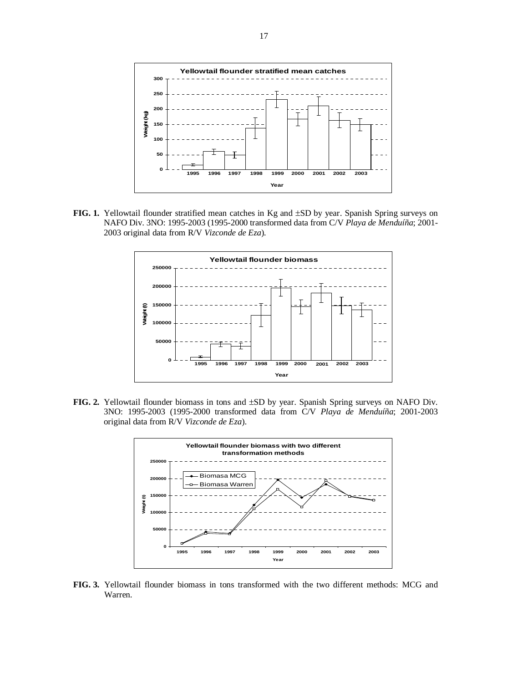

**FIG. 1.** Yellowtail flounder stratified mean catches in Kg and ±SD by year. Spanish Spring surveys on NAFO Div. 3NO: 1995-2003 (1995-2000 transformed data from C/V *Playa de Menduíña*; 2001- 2003 original data from R/V *Vizconde de Eza*).



**FIG. 2.** Yellowtail flounder biomass in tons and ±SD by year. Spanish Spring surveys on NAFO Div. 3NO: 1995-2003 (1995-2000 transformed data from C/V *Playa de Menduíña*; 2001-2003 original data from R/V *Vizconde de Eza*).



**FIG. 3.** Yellowtail flounder biomass in tons transformed with the two different methods: MCG and Warren.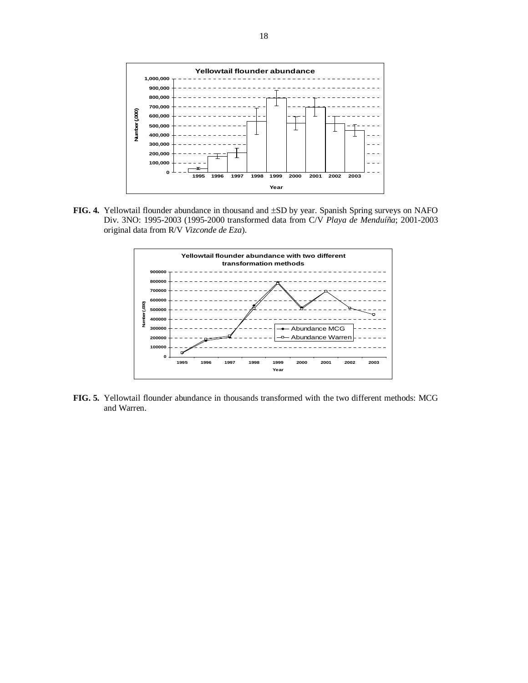

**FIG. 4.** Yellowtail flounder abundance in thousand and ±SD by year. Spanish Spring surveys on NAFO Div. 3NO: 1995-2003 (1995-2000 transformed data from C/V *Playa de Menduíña*; 2001-2003 original data from R/V *Vizconde de Eza*).



**FIG. 5.** Yellowtail flounder abundance in thousands transformed with the two different methods: MCG and Warren.